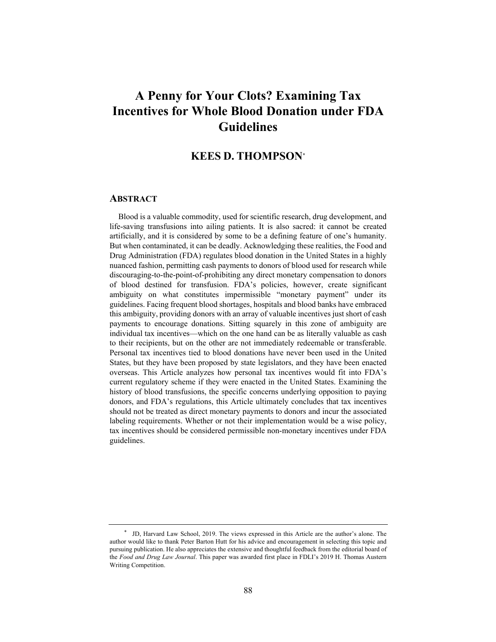# **A Penny for Your Clots? Examining Tax Incentives for Whole Blood Donation under FDA Guidelines**

## **KEES D. THOMPSON\***

#### **ABSTRACT**

Blood is a valuable commodity, used for scientific research, drug development, and life-saving transfusions into ailing patients. It is also sacred: it cannot be created artificially, and it is considered by some to be a defining feature of one's humanity. But when contaminated, it can be deadly. Acknowledging these realities, the Food and Drug Administration (FDA) regulates blood donation in the United States in a highly nuanced fashion, permitting cash payments to donors of blood used for research while discouraging-to-the-point-of-prohibiting any direct monetary compensation to donors of blood destined for transfusion. FDA's policies, however, create significant ambiguity on what constitutes impermissible "monetary payment" under its guidelines. Facing frequent blood shortages, hospitals and blood banks have embraced this ambiguity, providing donors with an array of valuable incentives just short of cash payments to encourage donations. Sitting squarely in this zone of ambiguity are individual tax incentives—which on the one hand can be as literally valuable as cash to their recipients, but on the other are not immediately redeemable or transferable. Personal tax incentives tied to blood donations have never been used in the United States, but they have been proposed by state legislators, and they have been enacted overseas. This Article analyzes how personal tax incentives would fit into FDA's current regulatory scheme if they were enacted in the United States. Examining the history of blood transfusions, the specific concerns underlying opposition to paying donors, and FDA's regulations, this Article ultimately concludes that tax incentives should not be treated as direct monetary payments to donors and incur the associated labeling requirements. Whether or not their implementation would be a wise policy, tax incentives should be considered permissible non-monetary incentives under FDA guidelines.

<sup>\*</sup> JD, Harvard Law School, 2019. The views expressed in this Article are the author's alone. The author would like to thank Peter Barton Hutt for his advice and encouragement in selecting this topic and pursuing publication. He also appreciates the extensive and thoughtful feedback from the editorial board of the *Food and Drug Law Journal*. This paper was awarded first place in FDLI's 2019 H. Thomas Austern Writing Competition.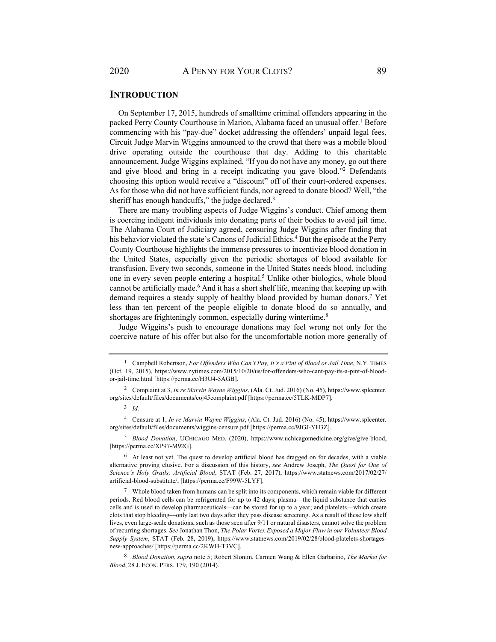### **INTRODUCTION**

On September 17, 2015, hundreds of smalltime criminal offenders appearing in the packed Perry County Courthouse in Marion, Alabama faced an unusual offer.<sup>1</sup> Before commencing with his "pay-due" docket addressing the offenders' unpaid legal fees, Circuit Judge Marvin Wiggins announced to the crowd that there was a mobile blood drive operating outside the courthouse that day. Adding to this charitable announcement, Judge Wiggins explained, "If you do not have any money, go out there and give blood and bring in a receipt indicating you gave blood."2 Defendants choosing this option would receive a "discount" off of their court-ordered expenses. As for those who did not have sufficient funds, nor agreed to donate blood? Well, "the sheriff has enough handcuffs," the judge declared.<sup>3</sup>

There are many troubling aspects of Judge Wiggins's conduct. Chief among them is coercing indigent individuals into donating parts of their bodies to avoid jail time. The Alabama Court of Judiciary agreed, censuring Judge Wiggins after finding that his behavior violated the state's Canons of Judicial Ethics.<sup>4</sup> But the episode at the Perry County Courthouse highlights the immense pressures to incentivize blood donation in the United States, especially given the periodic shortages of blood available for transfusion. Every two seconds, someone in the United States needs blood, including one in every seven people entering a hospital.<sup>5</sup> Unlike other biologics, whole blood cannot be artificially made.<sup>6</sup> And it has a short shelf life, meaning that keeping up with demand requires a steady supply of healthy blood provided by human donors.7 Yet less than ten percent of the people eligible to donate blood do so annually, and shortages are frighteningly common, especially during wintertime.<sup>8</sup>

Judge Wiggins's push to encourage donations may feel wrong not only for the coercive nature of his offer but also for the uncomfortable notion more generally of

<sup>5</sup> *Blood Donation*, UCHICAGO MED. (2020), https://www.uchicagomedicine.org/give/give-blood, [https://perma.cc/XP97-M92G].

6 At least not yet. The quest to develop artificial blood has dragged on for decades, with a viable alternative proving elusive. For a discussion of this history, *see* Andrew Joseph, *The Quest for One of Science's Holy Grails: Artificial Blood*, STAT (Feb. 27, 2017), https://www.statnews.com/2017/02/27/ artificial-blood-substitute/, [https://perma.cc/F99W-5LYF].

<sup>1</sup> Campbell Robertson, *For Offenders Who Can't Pay, It's a Pint of Blood or Jail Time*, N.Y. TIMES (Oct. 19, 2015), https://www.nytimes.com/2015/10/20/us/for-offenders-who-cant-pay-its-a-pint-of-bloodor-jail-time.html [https://perma.cc/H3U4-5AGB].

<sup>2</sup> Complaint at 3, *In re Marvin Wayne Wiggins*, (Ala. Ct. Jud. 2016) (No. 45), https://www.splcenter. org/sites/default/files/documents/coj45complaint.pdf [https://perma.cc/5TLK-MDP7].

<sup>3</sup> *Id.*

<sup>4</sup> Censure at 1, *In re Marvin Wayne Wiggins*, (Ala. Ct. Jud. 2016) (No. 45), https://www.splcenter. org/sites/default/files/documents/wiggins-censure.pdf [https://perma.cc/9JGJ-YH3Z].

 $7$  Whole blood taken from humans can be split into its components, which remain viable for different periods. Red blood cells can be refrigerated for up to 42 days; plasma—the liquid substance that carries cells and is used to develop pharmaceuticals—can be stored for up to a year; and platelets—which create clots that stop bleeding—only last two days after they pass disease screening. As a result of these low shelf lives, even large-scale donations, such as those seen after 9/11 or natural disasters, cannot solve the problem of recurring shortages. *See* Jonathan Thon, *The Polar Vortex Exposed a Major Flaw in our Volunteer Blood Supply System*, STAT (Feb. 28, 2019), https://www.statnews.com/2019/02/28/blood-platelets-shortagesnew-approaches/ [https://perma.cc/2KWH-T3VC].

<sup>8</sup> *Blood Donation*, *supra* note 5; Robert Slonim, Carmen Wang & Ellen Garbarino, *The Market for Blood*, 28 J. ECON. PERS. 179, 190 (2014).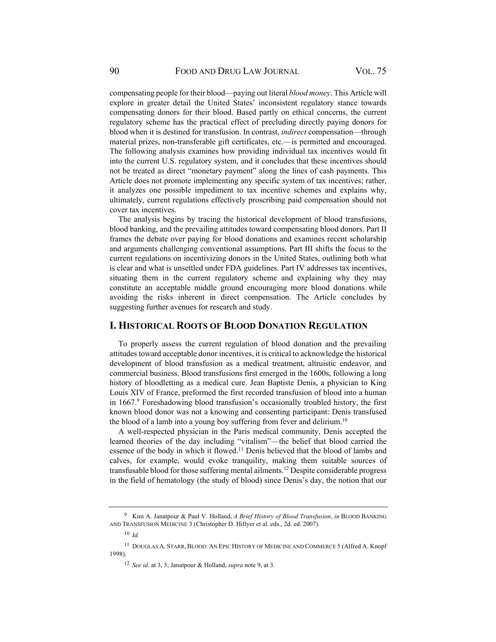compensating people for their blood—paying out literal *blood money*. This Article will explore in greater detail the United States' inconsistent regulatory stance towards compensating donors for their blood. Based partly on ethical concerns, the current regulatory scheme has the practical effect of precluding directly paying donors for blood when it is destined for transfusion. In contrast, *indirect* compensation—through material prizes, non-transferable gift certificates, etc.—is permitted and encouraged. The following analysis examines how providing individual tax incentives would fit into the current U.S. regulatory system, and it concludes that these incentives should not be treated as direct "monetary payment" along the lines of cash payments. This Article does not promote implementing any specific system of tax incentives; rather, it analyzes one possible impediment to tax incentive schemes and explains why, ultimately, current regulations effectively proscribing paid compensation should not cover tax incentives.

The analysis begins by tracing the historical development of blood transfusions, blood banking, and the prevailing attitudes toward compensating blood donors. Part II frames the debate over paying for blood donations and examines recent scholarship and arguments challenging conventional assumptions. Part III shifts the focus to the current regulations on incentivizing donors in the United States, outlining both what is clear and what is unsettled under FDA guidelines. Part IV addresses tax incentives, situating them in the current regulatory scheme and explaining why they may constitute an acceptable middle ground encouraging more blood donations while avoiding the risks inherent in direct compensation. The Article concludes by suggesting further avenues for research and study.

#### **I. HISTORICAL ROOTS OF BLOOD DONATION REGULATION**

To properly assess the current regulation of blood donation and the prevailing attitudes toward acceptable donor incentives, it is critical to acknowledge the historical development of blood transfusion as a medical treatment, altruistic endeavor, and commercial business. Blood transfusions first emerged in the 1600s, following a long history of bloodletting as a medical cure. Jean Baptiste Denis, a physician to King Louis XIV of France, preformed the first recorded transfusion of blood into a human in 1667.<sup>9</sup> Foreshadowing blood transfusion's occasionally troubled history, the first known blood donor was not a knowing and consenting participant: Denis transfused the blood of a lamb into a young boy suffering from fever and delirium.<sup>10</sup>

A well-respected physician in the Paris medical community, Denis accepted the learned theories of the day including "vitalism"—the belief that blood carried the essence of the body in which it flowed.11 Denis believed that the blood of lambs and calves, for example, would evoke tranquility, making them suitable sources of transfusable blood for those suffering mental ailments.12 Despite considerable progress in the field of hematology (the study of blood) since Denis's day, the notion that our

<sup>9</sup> Kim A. Janatpour & Paul V. Holland, *A Brief History of Blood Transfusion*, *in* BLOOD BANKING AND TRANSFUSION MEDICINE 3 (Christopher D. Hillyer et al. eds., 2d. ed. 2007).

<sup>10</sup> *Id.*

<sup>11</sup> DOUGLAS A. STARR, BLOOD: AN EPIC HISTORY OF MEDICINE AND COMMERCE 5 (Alfred A. Knopf 1998).

<sup>12</sup> *See id.* at 3, 5; Janatpour & Holland, *supra* note 9, at 3.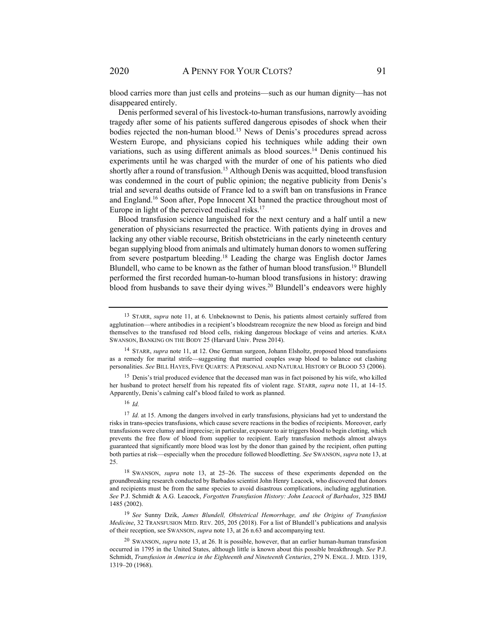blood carries more than just cells and proteins—such as our human dignity—has not disappeared entirely.

Denis performed several of his livestock-to-human transfusions, narrowly avoiding tragedy after some of his patients suffered dangerous episodes of shock when their bodies rejected the non-human blood.13 News of Denis's procedures spread across Western Europe, and physicians copied his techniques while adding their own variations, such as using different animals as blood sources.<sup>14</sup> Denis continued his experiments until he was charged with the murder of one of his patients who died shortly after a round of transfusion.<sup>15</sup> Although Denis was acquitted, blood transfusion was condemned in the court of public opinion; the negative publicity from Denis's trial and several deaths outside of France led to a swift ban on transfusions in France and England.16 Soon after, Pope Innocent XI banned the practice throughout most of Europe in light of the perceived medical risks. $17$ 

Blood transfusion science languished for the next century and a half until a new generation of physicians resurrected the practice. With patients dying in droves and lacking any other viable recourse, British obstetricians in the early nineteenth century began supplying blood from animals and ultimately human donors to women suffering from severe postpartum bleeding.18 Leading the charge was English doctor James Blundell, who came to be known as the father of human blood transfusion.<sup>19</sup> Blundell performed the first recorded human-to-human blood transfusions in history: drawing blood from husbands to save their dying wives.<sup>20</sup> Blundell's endeavors were highly

15 Denis's trial produced evidence that the deceased man was in fact poisoned by his wife, who killed her husband to protect herself from his repeated fits of violent rage. STARR, *supra* note 11, at 14–15. Apparently, Denis's calming calf's blood failed to work as planned.

<sup>16</sup> *Id.* 

<sup>&</sup>lt;sup>13</sup> STARR, *supra* note 11, at 6. Unbeknownst to Denis, his patients almost certainly suffered from agglutination—where antibodies in a recipient's bloodstream recognize the new blood as foreign and bind themselves to the transfused red blood cells, risking dangerous blockage of veins and arteries. KARA SWANSON, BANKING ON THE BODY 25 (Harvard Univ. Press 2014).

<sup>14</sup> STARR, *supra* note 11, at 12. One German surgeon, Johann Elsholtz, proposed blood transfusions as a remedy for marital strife—suggesting that married couples swap blood to balance out clashing personalities. *See* BILL HAYES, FIVE QUARTS: A PERSONAL AND NATURAL HISTORY OF BLOOD 53 (2006).

<sup>17</sup> *Id.* at 15. Among the dangers involved in early transfusions, physicians had yet to understand the risks in trans-species transfusions, which cause severe reactions in the bodies of recipients. Moreover, early transfusions were clumsy and imprecise; in particular, exposure to air triggers blood to begin clotting, which prevents the free flow of blood from supplier to recipient. Early transfusion methods almost always guaranteed that significantly more blood was lost by the donor than gained by the recipient, often putting both parties at risk—especially when the procedure followed bloodletting. *See* SWANSON, *supra* note 13, at 25.

<sup>18</sup> SWANSON, *supra* note 13, at 25–26. The success of these experiments depended on the groundbreaking research conducted by Barbados scientist John Henry Leacock, who discovered that donors and recipients must be from the same species to avoid disastrous complications, including agglutination. *See* P.J. Schmidt & A.G. Leacock, *Forgotten Transfusion History: John Leacock of Barbados*, 325 BMJ 1485 (2002).

<sup>19</sup> *See* Sunny Dzik, *James Blundell, Obstetrical Hemorrhage, and the Origins of Transfusion Medicine*, 32 TRANSFUSION MED. REV. 205, 205 (2018). For a list of Blundell's publications and analysis of their reception, see SWANSON, *supra* note 13, at 26 n.63 and accompanying text.

<sup>20</sup> SWANSON, *supra* note 13, at 26. It is possible, however, that an earlier human-human transfusion occurred in 1795 in the United States, although little is known about this possible breakthrough. *See* P.J. Schmidt, *Transfusion in America in the Eighteenth and Nineteenth Centuries*, 279 N. ENGL. J. MED. 1319, 1319–20 (1968).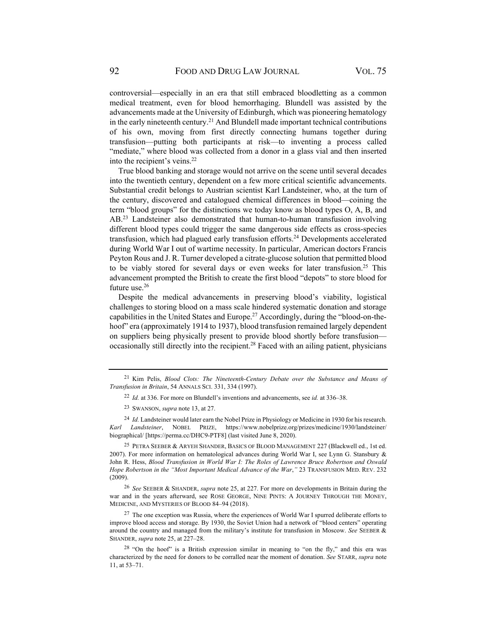controversial—especially in an era that still embraced bloodletting as a common medical treatment, even for blood hemorrhaging. Blundell was assisted by the advancements made at the University of Edinburgh, which was pioneering hematology in the early nineteenth century.<sup>21</sup> And Blundell made important technical contributions of his own, moving from first directly connecting humans together during transfusion—putting both participants at risk—to inventing a process called "mediate," where blood was collected from a donor in a glass vial and then inserted into the recipient's veins.<sup>22</sup>

True blood banking and storage would not arrive on the scene until several decades into the twentieth century, dependent on a few more critical scientific advancements. Substantial credit belongs to Austrian scientist Karl Landsteiner, who, at the turn of the century, discovered and catalogued chemical differences in blood—coining the term "blood groups" for the distinctions we today know as blood types O, A, B, and AB.23 Landsteiner also demonstrated that human-to-human transfusion involving different blood types could trigger the same dangerous side effects as cross-species transfusion, which had plagued early transfusion efforts.<sup>24</sup> Developments accelerated during World War I out of wartime necessity. In particular, American doctors Francis Peyton Rous and J. R. Turner developed a citrate-glucose solution that permitted blood to be viably stored for several days or even weeks for later transfusion.<sup>25</sup> This advancement prompted the British to create the first blood "depots" to store blood for future use.26

Despite the medical advancements in preserving blood's viability, logistical challenges to storing blood on a mass scale hindered systematic donation and storage capabilities in the United States and Europe.<sup>27</sup> Accordingly, during the "blood-on-thehoof" era (approximately 1914 to 1937), blood transfusion remained largely dependent on suppliers being physically present to provide blood shortly before transfusion occasionally still directly into the recipient.<sup>28</sup> Faced with an ailing patient, physicians

<sup>24</sup> *Id.* Landsteiner would later earn the Nobel Prize in Physiology or Medicine in 1930 for his research. *Karl Landsteiner*, NOBEL PRIZE, https://www.nobelprize.org/prizes/medicine/1930/landsteiner/ biographical/ [https://perma.cc/DHC9-PTF8] (last visited June 8, 2020).

25 PETRA SEEBER & ARYEH SHANDER, BASICS OF BLOOD MANAGEMENT 227 (Blackwell ed., 1st ed. 2007). For more information on hematological advances during World War I, see Lynn G. Stansbury & John R. Hess, *Blood Transfusion in World War I: The Roles of Lawrence Bruce Robertson and Oswald Hope Robertson in the "Most Important Medical Advance of the War*,*"* 23 TRANSFUSION MED. REV. 232 (2009).

<sup>26</sup> *See* SEEBER & SHANDER, *supra* note 25, at 227. For more on developments in Britain during the war and in the years afterward, see ROSE GEORGE, NINE PINTS: A JOURNEY THROUGH THE MONEY, MEDICINE, AND MYSTERIES OF BLOOD 84–94 (2018).

 $27$  The one exception was Russia, where the experiences of World War I spurred deliberate efforts to improve blood access and storage. By 1930, the Soviet Union had a network of "blood centers" operating around the country and managed from the military's institute for transfusion in Moscow. *See* SEEBER & SHANDER, *supra* note 25, at 227–28.

 $28$  "On the hoof" is a British expression similar in meaning to "on the fly," and this era was characterized by the need for donors to be corralled near the moment of donation. *See* STARR, *supra* note 11, at 53–71.

<sup>21</sup> Kim Pelis, *Blood Clots: The Nineteenth-Century Debate over the Substance and Means of Transfusion in Britain*, 54 ANNALS SCI. 331, 334 (1997).

<sup>22</sup> *Id.* at 336. For more on Blundell's inventions and advancements, see *id.* at 336–38.

<sup>23</sup> SWANSON, *supra* note 13, at 27.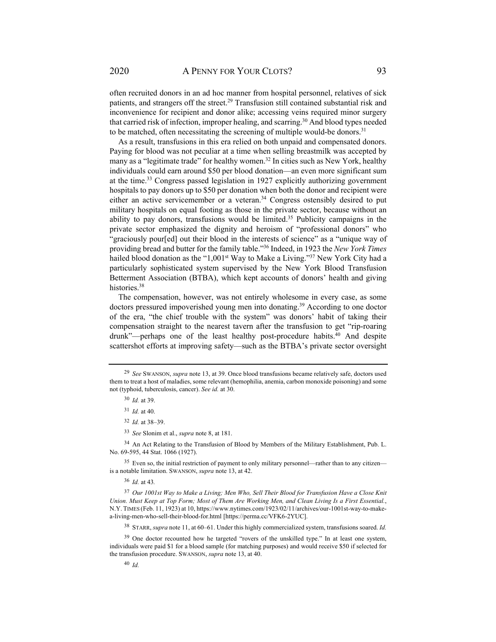often recruited donors in an ad hoc manner from hospital personnel, relatives of sick patients, and strangers off the street.<sup>29</sup> Transfusion still contained substantial risk and inconvenience for recipient and donor alike; accessing veins required minor surgery that carried risk of infection, improper healing, and scarring.30 And blood types needed to be matched, often necessitating the screening of multiple would-be donors.<sup>31</sup>

As a result, transfusions in this era relied on both unpaid and compensated donors. Paying for blood was not peculiar at a time when selling breastmilk was accepted by many as a "legitimate trade" for healthy women.<sup>32</sup> In cities such as New York, healthy individuals could earn around \$50 per blood donation—an even more significant sum at the time.33 Congress passed legislation in 1927 explicitly authorizing government hospitals to pay donors up to \$50 per donation when both the donor and recipient were either an active servicemember or a veteran.<sup>34</sup> Congress ostensibly desired to put military hospitals on equal footing as those in the private sector, because without an ability to pay donors, transfusions would be limited.<sup>35</sup> Publicity campaigns in the private sector emphasized the dignity and heroism of "professional donors" who "graciously pour[ed] out their blood in the interests of science" as a "unique way of providing bread and butter for the family table."36 Indeed, in 1923 the *New York Times* hailed blood donation as the "1,001<sup>st</sup> Way to Make a Living."<sup>37</sup> New York City had a particularly sophisticated system supervised by the New York Blood Transfusion Betterment Association (BTBA), which kept accounts of donors' health and giving histories.<sup>38</sup>

The compensation, however, was not entirely wholesome in every case, as some doctors pressured impoverished young men into donating.<sup>39</sup> According to one doctor of the era, "the chief trouble with the system" was donors' habit of taking their compensation straight to the nearest tavern after the transfusion to get "rip-roaring drunk"—perhaps one of the least healthy post-procedure habits.<sup>40</sup> And despite scattershot efforts at improving safety—such as the BTBA's private sector oversight

<sup>36</sup> *Id.* at 43*.*

<sup>40</sup> *Id.*

38 STARR, *supra* note 11, at 60–61. Under this highly commercialized system, transfusions soared. *Id.* 

<sup>39</sup> One doctor recounted how he targeted "rovers of the unskilled type." In at least one system, individuals were paid \$1 for a blood sample (for matching purposes) and would receive \$50 if selected for the transfusion procedure. SWANSON, *supra* note 13, at 40.

<sup>29</sup> *See* SWANSON, *supra* note 13, at 39. Once blood transfusions became relatively safe, doctors used them to treat a host of maladies, some relevant (hemophilia, anemia, carbon monoxide poisoning) and some not (typhoid, tuberculosis, cancer). *See id.* at 30.

<sup>30</sup> *Id.* at 39.

<sup>31</sup> *Id.* at 40.

<sup>32</sup> *Id.* at 38–39.

<sup>33</sup> *See* Slonim et al., *supra* note 8, at 181.

<sup>&</sup>lt;sup>34</sup> An Act Relating to the Transfusion of Blood by Members of the Military Establishment, Pub. L. No. 69-595, 44 Stat. 1066 (1927).

<sup>&</sup>lt;sup>35</sup> Even so, the initial restriction of payment to only military personnel—rather than to any citizen is a notable limitation. SWANSON, *supra* note 13, at 42.

<sup>37</sup> *Our 1001st Way to Make a Living; Men Who, Sell Their Blood for Transfusion Have a Close Knit Union. Must Keep at Top Form; Most of Them Are Working Men, and Clean Living Is a First Essential.*, N.Y. TIMES (Feb. 11, 1923) at 10, https://www.nytimes.com/1923/02/11/archives/our-1001st-way-to-makea-living-men-who-sell-their-blood-for.html [https://perma.cc/VFK6-2YUC].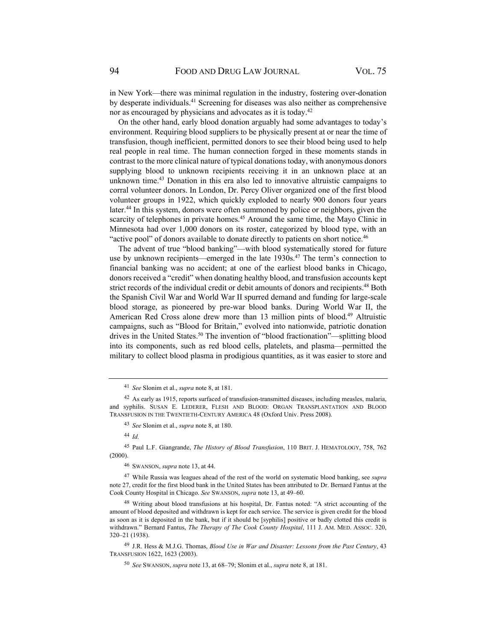in New York—there was minimal regulation in the industry, fostering over-donation by desperate individuals.41 Screening for diseases was also neither as comprehensive nor as encouraged by physicians and advocates as it is today.<sup>42</sup>

On the other hand, early blood donation arguably had some advantages to today's environment. Requiring blood suppliers to be physically present at or near the time of transfusion, though inefficient, permitted donors to see their blood being used to help real people in real time. The human connection forged in these moments stands in contrast to the more clinical nature of typical donations today, with anonymous donors supplying blood to unknown recipients receiving it in an unknown place at an unknown time.43 Donation in this era also led to innovative altruistic campaigns to corral volunteer donors. In London, Dr. Percy Oliver organized one of the first blood volunteer groups in 1922, which quickly exploded to nearly 900 donors four years later.<sup>44</sup> In this system, donors were often summoned by police or neighbors, given the scarcity of telephones in private homes.<sup>45</sup> Around the same time, the Mayo Clinic in Minnesota had over 1,000 donors on its roster, categorized by blood type, with an "active pool" of donors available to donate directly to patients on short notice.<sup>46</sup>

The advent of true "blood banking"—with blood systematically stored for future use by unknown recipients—emerged in the late 1930s.<sup>47</sup> The term's connection to financial banking was no accident; at one of the earliest blood banks in Chicago, donors received a "credit" when donating healthy blood, and transfusion accounts kept strict records of the individual credit or debit amounts of donors and recipients.<sup>48</sup> Both the Spanish Civil War and World War II spurred demand and funding for large-scale blood storage, as pioneered by pre-war blood banks. During World War II, the American Red Cross alone drew more than 13 million pints of blood.<sup>49</sup> Altruistic campaigns, such as "Blood for Britain," evolved into nationwide, patriotic donation drives in the United States.<sup>50</sup> The invention of "blood fractionation"—splitting blood into its components, such as red blood cells, platelets, and plasma—permitted the military to collect blood plasma in prodigious quantities, as it was easier to store and

<sup>44</sup> *Id.*

45 Paul L.F. Giangrande, *The History of Blood Transfusion*, 110 BRIT. J. HEMATOLOGY, 758, 762 (2000).

<sup>41</sup> *See* Slonim et al., *supra* note 8, at 181.

 $42$  As early as 1915, reports surfaced of transfusion-transmitted diseases, including measles, malaria, and syphilis. SUSAN E. LEDERER, FLESH AND BLOOD: ORGAN TRANSPLANTATION AND BLOOD TRANSFUSION IN THE TWENTIETH-CENTURY AMERICA 48 (Oxford Univ. Press 2008).

<sup>43</sup> *See* Slonim et al., *supra* note 8, at 180.

<sup>46</sup> SWANSON, *supra* note 13, at 44.

<sup>47</sup> While Russia was leagues ahead of the rest of the world on systematic blood banking, see *supra* note 27, credit for the first blood bank in the United States has been attributed to Dr. Bernard Fantus at the Cook County Hospital in Chicago. *See* SWANSON, *supra* note 13, at 49–60.

<sup>48</sup> Writing about blood transfusions at his hospital, Dr. Fantus noted: "A strict accounting of the amount of blood deposited and withdrawn is kept for each service. The service is given credit for the blood as soon as it is deposited in the bank, but if it should be [syphilis] positive or badly clotted this credit is withdrawn." Bernard Fantus, *The Therapy of The Cook County Hospital*, 111 J. AM. MED. ASSOC. 320, 320–21 (1938).

<sup>49</sup> J.R. Hess & M.J.G. Thomas, *Blood Use in War and Disaster: Lessons from the Past Century*, 43 TRANSFUSION 1622, 1623 (2003).

<sup>50</sup> *See* SWANSON, *supra* note 13, at 68–79; Slonim et al., *supra* note 8, at 181.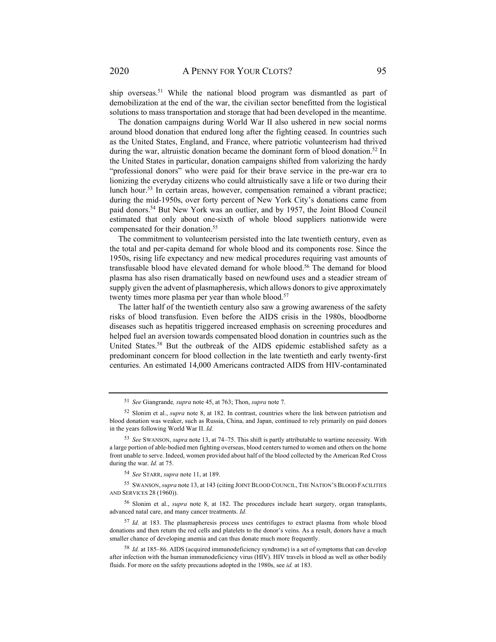ship overseas.<sup>51</sup> While the national blood program was dismantled as part of demobilization at the end of the war, the civilian sector benefitted from the logistical solutions to mass transportation and storage that had been developed in the meantime.

The donation campaigns during World War II also ushered in new social norms around blood donation that endured long after the fighting ceased. In countries such as the United States, England, and France, where patriotic volunteerism had thrived during the war, altruistic donation became the dominant form of blood donation.<sup>52</sup> In the United States in particular, donation campaigns shifted from valorizing the hardy "professional donors" who were paid for their brave service in the pre-war era to lionizing the everyday citizens who could altruistically save a life or two during their lunch hour.<sup>53</sup> In certain areas, however, compensation remained a vibrant practice; during the mid-1950s, over forty percent of New York City's donations came from paid donors.54 But New York was an outlier, and by 1957, the Joint Blood Council estimated that only about one-sixth of whole blood suppliers nationwide were compensated for their donation.55

The commitment to volunteerism persisted into the late twentieth century, even as the total and per-capita demand for whole blood and its components rose. Since the 1950s, rising life expectancy and new medical procedures requiring vast amounts of transfusable blood have elevated demand for whole blood.<sup>56</sup> The demand for blood plasma has also risen dramatically based on newfound uses and a steadier stream of supply given the advent of plasmapheresis, which allows donors to give approximately twenty times more plasma per year than whole blood.<sup>57</sup>

The latter half of the twentieth century also saw a growing awareness of the safety risks of blood transfusion. Even before the AIDS crisis in the 1980s, bloodborne diseases such as hepatitis triggered increased emphasis on screening procedures and helped fuel an aversion towards compensated blood donation in countries such as the United States.<sup>58</sup> But the outbreak of the AIDS epidemic established safety as a predominant concern for blood collection in the late twentieth and early twenty-first centuries. An estimated 14,000 Americans contracted AIDS from HIV-contaminated

<sup>51</sup> *See* Giangrande*, supra* note 45, at 763; Thon, *supra* note 7.

<sup>52</sup> Slonim et al., *supra* note 8, at 182. In contrast, countries where the link between patriotism and blood donation was weaker, such as Russia, China, and Japan, continued to rely primarily on paid donors in the years following World War II. *Id.*

<sup>53</sup> *See* SWANSON, *supra* note 13, at 74–75. This shift is partly attributable to wartime necessity. With a large portion of able-bodied men fighting overseas, blood centers turned to women and others on the home front unable to serve. Indeed, women provided about half of the blood collected by the American Red Cross during the war. *Id.* at 75.

<sup>54</sup> *See* STARR, *supra* note 11, at 189.

<sup>55</sup> SWANSON, *supra* note 13, at 143 (citing JOINT BLOOD COUNCIL, THE NATION'S BLOOD FACILITIES AND SERVICES 28 (1960)).

<sup>56</sup> Slonim et al., *supra* note 8, at 182. The procedures include heart surgery, organ transplants, advanced natal care, and many cancer treatments. *Id.* 

<sup>57</sup> *Id.* at 183. The plasmapheresis process uses centrifuges to extract plasma from whole blood donations and then return the red cells and platelets to the donor's veins. As a result, donors have a much smaller chance of developing anemia and can thus donate much more frequently.

<sup>58</sup> *Id.* at 185–86. AIDS (acquired immunodeficiency syndrome) is a set of symptoms that can develop after infection with the human immunodeficiency virus (HIV). HIV travels in blood as well as other bodily fluids. For more on the safety precautions adopted in the 1980s, see *id.* at 183.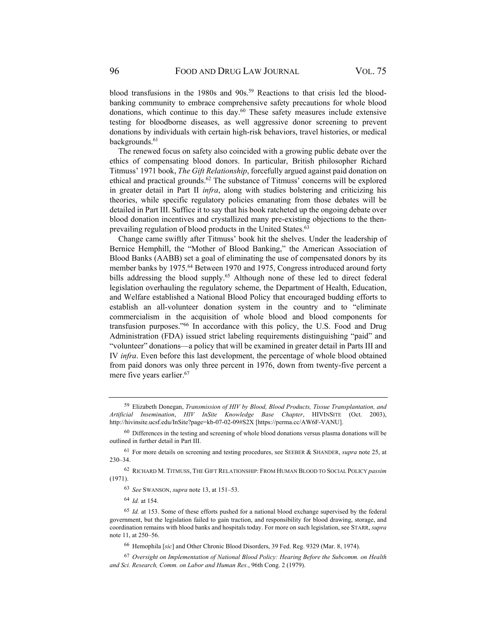blood transfusions in the 1980s and  $90s$ .<sup>59</sup> Reactions to that crisis led the bloodbanking community to embrace comprehensive safety precautions for whole blood donations, which continue to this day. $60$  These safety measures include extensive testing for bloodborne diseases, as well aggressive donor screening to prevent donations by individuals with certain high-risk behaviors, travel histories, or medical backgrounds.<sup>61</sup>

The renewed focus on safety also coincided with a growing public debate over the ethics of compensating blood donors. In particular, British philosopher Richard Titmuss' 1971 book, *The Gift Relationship*, forcefully argued against paid donation on ethical and practical grounds.<sup>62</sup> The substance of Titmuss' concerns will be explored in greater detail in Part II *infra*, along with studies bolstering and criticizing his theories, while specific regulatory policies emanating from those debates will be detailed in Part III. Suffice it to say that his book ratcheted up the ongoing debate over blood donation incentives and crystallized many pre-existing objections to the thenprevailing regulation of blood products in the United States.<sup>63</sup>

Change came swiftly after Titmuss' book hit the shelves. Under the leadership of Bernice Hemphill, the "Mother of Blood Banking," the American Association of Blood Banks (AABB) set a goal of eliminating the use of compensated donors by its member banks by 1975.<sup>64</sup> Between 1970 and 1975, Congress introduced around forty bills addressing the blood supply.<sup>65</sup> Although none of these led to direct federal legislation overhauling the regulatory scheme, the Department of Health, Education, and Welfare established a National Blood Policy that encouraged budding efforts to establish an all-volunteer donation system in the country and to "eliminate commercialism in the acquisition of whole blood and blood components for transfusion purposes."66 In accordance with this policy, the U.S. Food and Drug Administration (FDA) issued strict labeling requirements distinguishing "paid" and "volunteer" donations—a policy that will be examined in greater detail in Parts III and IV *infra*. Even before this last development, the percentage of whole blood obtained from paid donors was only three percent in 1976, down from twenty-five percent a mere five years earlier.<sup>67</sup>

<sup>64</sup> *Id.* at 154.

66 Hemophila [*sic*] and Other Chronic Blood Disorders, 39 Fed. Reg. 9329 (Mar. 8, 1974).

<sup>59</sup> Elizabeth Donegan, *Transmission of HIV by Blood, Blood Products, Tissue Transplantation, and Artificial Insemination*, *HIV InSite Knowledge Base Chapter*, HIVINSITE (Oct. 2003), http://hivinsite.ucsf.edu/InSite?page=kb-07-02-09#S2X [https://perma.cc/AW6F-VANU].

 $60$  Differences in the testing and screening of whole blood donations versus plasma donations will be outlined in further detail in Part III.

<sup>61</sup> For more details on screening and testing procedures, see SEEBER & SHANDER, *supra* note 25, at 230–34.

<sup>62</sup> RICHARD M. TITMUSS, THE GIFT RELATIONSHIP: FROM HUMAN BLOOD TO SOCIAL POLICY *passim* (1971).

<sup>63</sup> *See* SWANSON, *supra* note 13, at 151–53.

<sup>65</sup> *Id.* at 153. Some of these efforts pushed for a national blood exchange supervised by the federal government, but the legislation failed to gain traction, and responsibility for blood drawing, storage, and coordination remains with blood banks and hospitals today. For more on such legislation, see STARR, *supra* note 11, at 250–56.

<sup>67</sup> *Oversight on Implementation of National Blood Policy: Hearing Before the Subcomm. on Health and Sci. Research, Comm. on Labor and Human Res.*, 96th Cong. 2 (1979).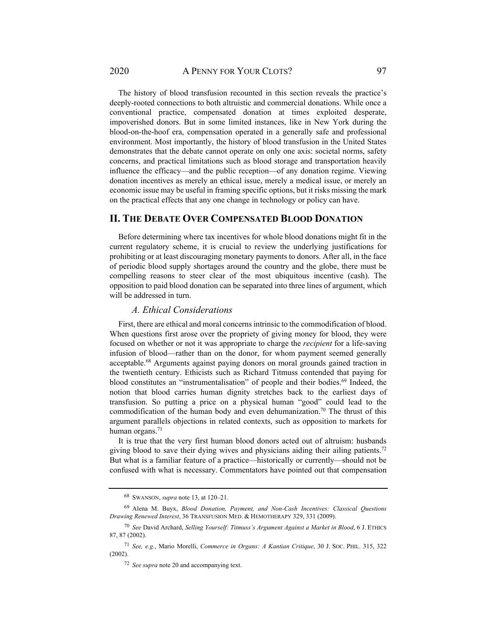The history of blood transfusion recounted in this section reveals the practice's deeply-rooted connections to both altruistic and commercial donations. While once a conventional practice, compensated donation at times exploited desperate, impoverished donors. But in some limited instances, like in New York during the blood-on-the-hoof era, compensation operated in a generally safe and professional environment. Most importantly, the history of blood transfusion in the United States demonstrates that the debate cannot operate on only one axis: societal norms, safety concerns, and practical limitations such as blood storage and transportation heavily influence the efficacy—and the public reception—of any donation regime. Viewing donation incentives as merely an ethical issue, merely a medical issue, or merely an economic issue may be useful in framing specific options, but it risks missing the mark on the practical effects that any one change in technology or policy can have.

## **II. THE DEBATE OVER COMPENSATED BLOOD DONATION**

Before determining where tax incentives for whole blood donations might fit in the current regulatory scheme, it is crucial to review the underlying justifications for prohibiting or at least discouraging monetary payments to donors. After all, in the face of periodic blood supply shortages around the country and the globe, there must be compelling reasons to steer clear of the most ubiquitous incentive (cash). The opposition to paid blood donation can be separated into three lines of argument, which will be addressed in turn.

#### *A. Ethical Considerations*

First, there are ethical and moral concerns intrinsic to the commodification of blood. When questions first arose over the propriety of giving money for blood, they were focused on whether or not it was appropriate to charge the *recipient* for a life-saving infusion of blood—rather than on the donor, for whom payment seemed generally acceptable.68 Arguments against paying donors on moral grounds gained traction in the twentieth century. Ethicists such as Richard Titmuss contended that paying for blood constitutes an "instrumentalisation" of people and their bodies.<sup>69</sup> Indeed, the notion that blood carries human dignity stretches back to the earliest days of transfusion. So putting a price on a physical human "good" could lead to the commodification of the human body and even dehumanization.<sup>70</sup> The thrust of this argument parallels objections in related contexts, such as opposition to markets for human organs.<sup>71</sup>

It is true that the very first human blood donors acted out of altruism: husbands giving blood to save their dying wives and physicians aiding their ailing patients.<sup>72</sup> But what is a familiar feature of a practice—historically or currently—should not be confused with what is necessary. Commentators have pointed out that compensation

<sup>68</sup> SWANSON, *supra* note 13, at 120–21.

<sup>69</sup> Alena M. Buyx, *Blood Donation, Payment, and Non-Cash Incentives: Classical Questions Drawing Renewed Interest*, 36 TRANSFUSION MED. & HEMOTHERAPY 329, 331 (2009).

<sup>70</sup> *See* David Archard, *Selling Yourself: Titmuss's Argument Against a Market in Blood*, 6 J. ETHICS 87, 87 (2002).

<sup>71</sup> *See, e.g.*, Mario Morelli, *Commerce in Organs: A Kantian Critique*, 30 J. SOC. PHIL. 315, 322 (2002).

<sup>72</sup> *See supra* note 20 and accompanying text.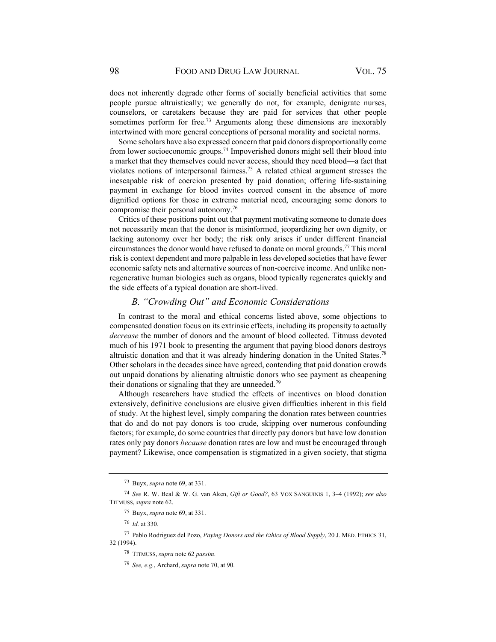does not inherently degrade other forms of socially beneficial activities that some people pursue altruistically; we generally do not, for example, denigrate nurses, counselors, or caretakers because they are paid for services that other people sometimes perform for free.<sup>73</sup> Arguments along these dimensions are inexorably intertwined with more general conceptions of personal morality and societal norms.

Some scholars have also expressed concern that paid donors disproportionally come from lower socioeconomic groups.74 Impoverished donors might sell their blood into a market that they themselves could never access, should they need blood—a fact that violates notions of interpersonal fairness.75 A related ethical argument stresses the inescapable risk of coercion presented by paid donation; offering life-sustaining payment in exchange for blood invites coerced consent in the absence of more dignified options for those in extreme material need, encouraging some donors to compromise their personal autonomy.76

Critics of these positions point out that payment motivating someone to donate does not necessarily mean that the donor is misinformed, jeopardizing her own dignity, or lacking autonomy over her body; the risk only arises if under different financial circumstances the donor would have refused to donate on moral grounds.77 This moral risk is context dependent and more palpable in less developed societies that have fewer economic safety nets and alternative sources of non-coercive income. And unlike nonregenerative human biologics such as organs, blood typically regenerates quickly and the side effects of a typical donation are short-lived.

#### *B. "Crowding Out" and Economic Considerations*

In contrast to the moral and ethical concerns listed above, some objections to compensated donation focus on its extrinsic effects, including its propensity to actually *decrease* the number of donors and the amount of blood collected. Titmuss devoted much of his 1971 book to presenting the argument that paying blood donors destroys altruistic donation and that it was already hindering donation in the United States.78 Other scholars in the decades since have agreed, contending that paid donation crowds out unpaid donations by alienating altruistic donors who see payment as cheapening their donations or signaling that they are unneeded.<sup>79</sup>

Although researchers have studied the effects of incentives on blood donation extensively, definitive conclusions are elusive given difficulties inherent in this field of study. At the highest level, simply comparing the donation rates between countries that do and do not pay donors is too crude, skipping over numerous confounding factors; for example, do some countries that directly pay donors but have low donation rates only pay donors *because* donation rates are low and must be encouraged through payment? Likewise, once compensation is stigmatized in a given society, that stigma

<sup>73</sup> Buyx, *supra* note 69, at 331.

<sup>74</sup> *See* R. W. Beal & W. G. van Aken, *Gift or Good?*, 63 VOX SANGUINIS 1, 3–4 (1992); *see also*  TITMUSS, *supra* note 62.

<sup>75</sup> Buyx, *supra* note 69, at 331.

<sup>76</sup> *Id.* at 330.

<sup>77</sup> Pablo Rodriguez del Pozo, *Paying Donors and the Ethics of Blood Supply*, 20 J. MED. ETHICS 31, 32 (1994).

<sup>78</sup> TITMUSS, *supra* note 62 *passim*.

<sup>79</sup> *See, e.g.*, Archard, *supra* note 70, at 90.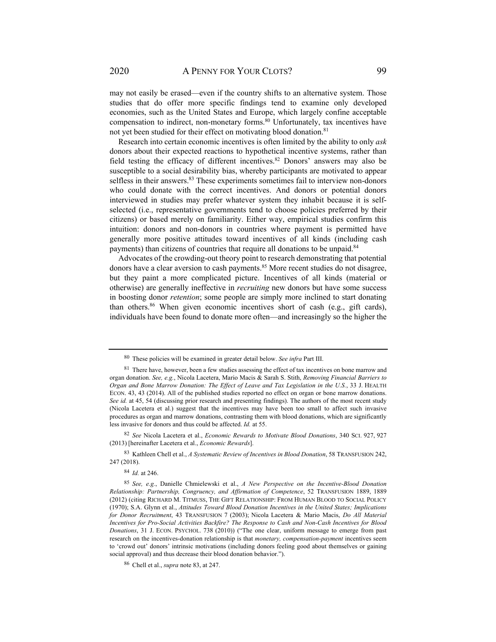may not easily be erased—even if the country shifts to an alternative system. Those studies that do offer more specific findings tend to examine only developed economies, such as the United States and Europe, which largely confine acceptable compensation to indirect, non-monetary forms.80 Unfortunately, tax incentives have not yet been studied for their effect on motivating blood donation.<sup>81</sup>

Research into certain economic incentives is often limited by the ability to only *ask* donors about their expected reactions to hypothetical incentive systems, rather than field testing the efficacy of different incentives.<sup>82</sup> Donors' answers may also be susceptible to a social desirability bias, whereby participants are motivated to appear selfless in their answers.<sup>83</sup> These experiments sometimes fail to interview non-donors who could donate with the correct incentives. And donors or potential donors interviewed in studies may prefer whatever system they inhabit because it is selfselected (i.e., representative governments tend to choose policies preferred by their citizens) or based merely on familiarity. Either way, empirical studies confirm this intuition: donors and non-donors in countries where payment is permitted have generally more positive attitudes toward incentives of all kinds (including cash payments) than citizens of countries that require all donations to be unpaid.<sup>84</sup>

Advocates of the crowding-out theory point to research demonstrating that potential donors have a clear aversion to cash payments.<sup>85</sup> More recent studies do not disagree, but they paint a more complicated picture. Incentives of all kinds (material or otherwise) are generally ineffective in *recruiting* new donors but have some success in boosting donor *retention*; some people are simply more inclined to start donating than others.<sup>86</sup> When given economic incentives short of cash (e.g., gift cards), individuals have been found to donate more often—and increasingly so the higher the

83 Kathleen Chell et al., *A Systematic Review of Incentives in Blood Donation*, 58 TRANSFUSION 242, 247 (2018).

<sup>84</sup> *Id.* at 246.

<sup>80</sup> These policies will be examined in greater detail below. *See infra* Part III.

 $81$  There have, however, been a few studies assessing the effect of tax incentives on bone marrow and organ donation. *See, e.g.*, Nicola Lacetera, Mario Macis & Sarah S. Stith, *Removing Financial Barriers to Organ and Bone Marrow Donation: The Effect of Leave and Tax Legislation in the U.S.*, 33 J. HEALTH ECON. 43, 43 (2014). All of the published studies reported no effect on organ or bone marrow donations. *See id.* at 45, 54 (discussing prior research and presenting findings). The authors of the most recent study (Nicola Lacetera et al.) suggest that the incentives may have been too small to affect such invasive procedures as organ and marrow donations, contrasting them with blood donations, which are significantly less invasive for donors and thus could be affected. *Id.* at 55.

<sup>82</sup> *See* Nicola Lacetera et al., *Economic Rewards to Motivate Blood Donations*, 340 SCI. 927, 927 (2013) [hereinafter Lacetera et al., *Economic Rewards*].

<sup>85</sup> *See, e.g.*, Danielle Chmielewski et al., *A New Perspective on the Incentive-Blood Donation Relationship: Partnership, Congruency, and Affirmation of Competence*, 52 TRANSFUSION 1889, 1889 (2012) (citing RICHARD M. TITMUSS, THE GIFT RELATIONSHIP: FROM HUMAN BLOOD TO SOCIAL POLICY (1970); S.A. Glynn et al., *Attitudes Toward Blood Donation Incentives in the United States; Implications for Donor Recruitment*, 43 TRANSFUSION 7 (2003); Nicola Lacetera & Mario Macis, *Do All Material Incentives for Pro-Social Activities Backfire? The Response to Cash and Non-Cash Incentives for Blood Donations*, 31 J. ECON. PSYCHOL. 738 (2010)) ("The one clear, uniform message to emerge from past research on the incentives-donation relationship is that *monetary, compensation*-*payment* incentives seem to 'crowd out' donors' intrinsic motivations (including donors feeling good about themselves or gaining social approval) and thus decrease their blood donation behavior.").

<sup>86</sup> Chell et al., *supra* note 83, at 247.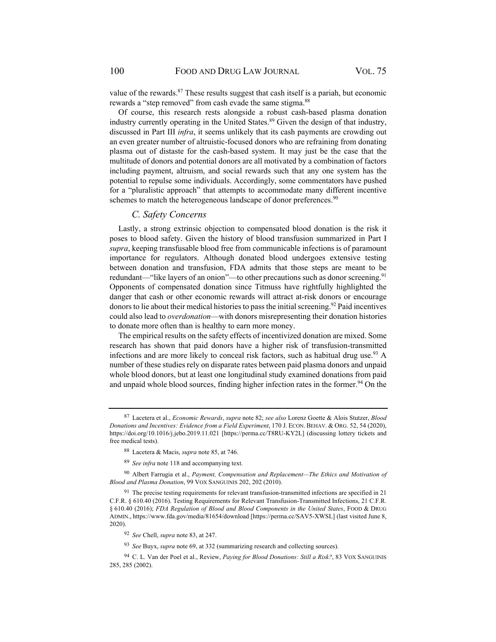value of the rewards. $87$  These results suggest that cash itself is a pariah, but economic rewards a "step removed" from cash evade the same stigma.<sup>88</sup>

Of course, this research rests alongside a robust cash-based plasma donation industry currently operating in the United States.<sup>89</sup> Given the design of that industry, discussed in Part III *infra*, it seems unlikely that its cash payments are crowding out an even greater number of altruistic-focused donors who are refraining from donating plasma out of distaste for the cash-based system. It may just be the case that the multitude of donors and potential donors are all motivated by a combination of factors including payment, altruism, and social rewards such that any one system has the potential to repulse some individuals. Accordingly, some commentators have pushed for a "pluralistic approach" that attempts to accommodate many different incentive schemes to match the heterogeneous landscape of donor preferences.<sup>90</sup>

## *C. Safety Concerns*

Lastly, a strong extrinsic objection to compensated blood donation is the risk it poses to blood safety. Given the history of blood transfusion summarized in Part I *supra*, keeping transfusable blood free from communicable infections is of paramount importance for regulators. Although donated blood undergoes extensive testing between donation and transfusion, FDA admits that those steps are meant to be redundant—"like layers of an onion"—to other precautions such as donor screening.<sup>91</sup> Opponents of compensated donation since Titmuss have rightfully highlighted the danger that cash or other economic rewards will attract at-risk donors or encourage donors to lie about their medical histories to pass the initial screening.<sup>92</sup> Paid incentives could also lead to *overdonation*—with donors misrepresenting their donation histories to donate more often than is healthy to earn more money.

The empirical results on the safety effects of incentivized donation are mixed. Some research has shown that paid donors have a higher risk of transfusion-transmitted infections and are more likely to conceal risk factors, such as habitual drug use.<sup>93</sup> A number of these studies rely on disparate rates between paid plasma donors and unpaid whole blood donors, but at least one longitudinal study examined donations from paid and unpaid whole blood sources, finding higher infection rates in the former.<sup>94</sup> On the

<sup>87</sup> Lacetera et al., *Economic Rewards*, *supra* note 82; *see also* Lorenz Goette & Alois Stutzer, *Blood Donations and Incentives: Evidence from a Field Experiment*, 170 J. ECON. BEHAV. & ORG. 52, 54 (2020), https://doi.org/10.1016/j.jebo.2019.11.021 [https://perma.cc/T8RU-KY2L] (discussing lottery tickets and free medical tests).

<sup>88</sup> Lacetera & Macis, *supra* note 85, at 746.

<sup>89</sup> *See infra* note 118 and accompanying text.

<sup>90</sup> Albert Farrugia et al., *Payment, Compensation and Replacement—The Ethics and Motivation of Blood and Plasma Donation*, 99 VOX SANGUINIS 202, 202 (2010).

 $91$  The precise testing requirements for relevant transfusion-transmitted infections are specified in 21 C.F.R. § 610.40 (2016). Testing Requirements for Relevant Transfusion-Transmitted Infections, 21 C.F.R. § 610.40 (2016); *FDA Regulation of Blood and Blood Components in the United States*, FOOD & DRUG ADMIN., https://www.fda.gov/media/81654/download [https://perma.cc/SAV5-XWSL] (last visited June 8, 2020).

<sup>92</sup> *See* Chell, *supra* note 83, at 247.

<sup>93</sup> *See* Buyx, *supra* note 69, at 332 (summarizing research and collecting sources).

<sup>94</sup> C. L. Van der Poel et al., Review, *Paying for Blood Donations: Still a Risk?*, 83 VOX SANGUINIS 285, 285 (2002).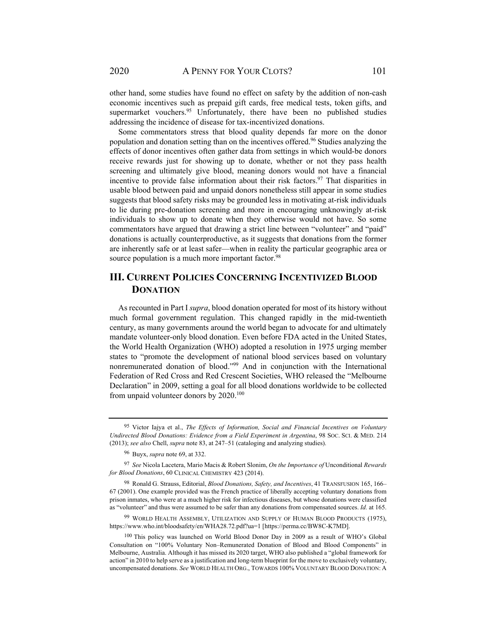other hand, some studies have found no effect on safety by the addition of non-cash economic incentives such as prepaid gift cards, free medical tests, token gifts, and supermarket vouchers.<sup>95</sup> Unfortunately, there have been no published studies addressing the incidence of disease for tax-incentivized donations.

Some commentators stress that blood quality depends far more on the donor population and donation setting than on the incentives offered.<sup>96</sup> Studies analyzing the effects of donor incentives often gather data from settings in which would-be donors receive rewards just for showing up to donate, whether or not they pass health screening and ultimately give blood, meaning donors would not have a financial incentive to provide false information about their risk factors. 97 That disparities in usable blood between paid and unpaid donors nonetheless still appear in some studies suggests that blood safety risks may be grounded less in motivating at-risk individuals to lie during pre-donation screening and more in encouraging unknowingly at-risk individuals to show up to donate when they otherwise would not have. So some commentators have argued that drawing a strict line between "volunteer" and "paid" donations is actually counterproductive, as it suggests that donations from the former are inherently safe or at least safer—when in reality the particular geographic area or source population is a much more important factor.<sup>98</sup>

# **III. CURRENT POLICIES CONCERNING INCENTIVIZED BLOOD DONATION**

As recounted in Part I *supra*, blood donation operated for most of its history without much formal government regulation. This changed rapidly in the mid-twentieth century, as many governments around the world began to advocate for and ultimately mandate volunteer-only blood donation. Even before FDA acted in the United States, the World Health Organization (WHO) adopted a resolution in 1975 urging member states to "promote the development of national blood services based on voluntary nonremunerated donation of blood."99 And in conjunction with the International Federation of Red Cross and Red Crescent Societies, WHO released the "Melbourne Declaration" in 2009, setting a goal for all blood donations worldwide to be collected from unpaid volunteer donors by 2020.100

<sup>95</sup> Victor Iajya et al., *The Effects of Information, Social and Financial Incentives on Voluntary Undirected Blood Donations: Evidence from a Field Experiment in Argentina*, 98 SOC. SCI. & MED. 214 (2013); *see also* Chell, *supra* note 83, at 247–51 (cataloging and analyzing studies).

<sup>96</sup> Buyx, *supra* note 69, at 332.

<sup>97</sup> *See* Nicola Lacetera, Mario Macis & Robert Slonim, *On the Importance of* Unconditional *Rewards for Blood Donations*, 60 CLINICAL CHEMISTRY 423 (2014).

<sup>98</sup> Ronald G. Strauss, Editorial, *Blood Donations, Safety, and Incentives*, 41 TRANSFUSION 165, 166– 67 (2001). One example provided was the French practice of liberally accepting voluntary donations from prison inmates, who were at a much higher risk for infectious diseases, but whose donations were classified as "volunteer" and thus were assumed to be safer than any donations from compensated sources. *Id.* at 165.

<sup>99</sup> WORLD HEALTH ASSEMBLY, UTILIZATION AND SUPPLY OF HUMAN BLOOD PRODUCTS (1975), https://www.who.int/bloodsafety/en/WHA28.72.pdf?ua=1 [https://perma.cc/BW8C-K7MD].

<sup>100</sup> This policy was launched on World Blood Donor Day in 2009 as a result of WHO's Global Consultation on "100% Voluntary Non–Remunerated Donation of Blood and Blood Components" in Melbourne, Australia. Although it has missed its 2020 target, WHO also published a "global framework for action" in 2010 to help serve as a justification and long-term blueprint for the move to exclusively voluntary, uncompensated donations. *See* WORLD HEALTH ORG., TOWARDS 100% VOLUNTARY BLOOD DONATION: A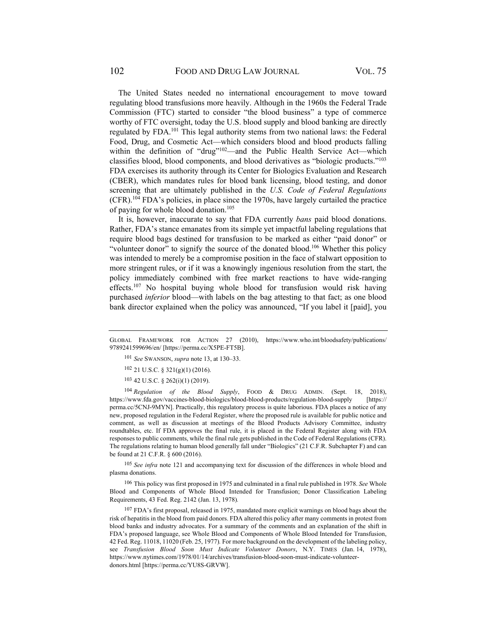The United States needed no international encouragement to move toward regulating blood transfusions more heavily. Although in the 1960s the Federal Trade Commission (FTC) started to consider "the blood business" a type of commerce worthy of FTC oversight, today the U.S. blood supply and blood banking are directly regulated by FDA.101 This legal authority stems from two national laws: the Federal Food, Drug, and Cosmetic Act—which considers blood and blood products falling within the definition of "drug"<sup>102</sup>—and the Public Health Service Act—which classifies blood, blood components, and blood derivatives as "biologic products."103 FDA exercises its authority through its Center for Biologics Evaluation and Research (CBER), which mandates rules for blood bank licensing, blood testing, and donor screening that are ultimately published in the *U.S. Code of Federal Regulations*  (CFR).104 FDA's policies, in place since the 1970s, have largely curtailed the practice of paying for whole blood donation.105

It is, however, inaccurate to say that FDA currently *bans* paid blood donations. Rather, FDA's stance emanates from its simple yet impactful labeling regulations that require blood bags destined for transfusion to be marked as either "paid donor" or "volunteer donor" to signify the source of the donated blood.<sup>106</sup> Whether this policy was intended to merely be a compromise position in the face of stalwart opposition to more stringent rules, or if it was a knowingly ingenious resolution from the start, the policy immediately combined with free market reactions to have wide-ranging effects.<sup>107</sup> No hospital buying whole blood for transfusion would risk having purchased *inferior* blood—with labels on the bag attesting to that fact; as one blood bank director explained when the policy was announced, "If you label it [paid], you

103 42 U.S.C. § 262(i)(1) (2019).

<sup>104</sup> *Regulation of the Blood Supply*, FOOD & DRUG ADMIN. (Sept. 18, 2018), https://www.fda.gov/vaccines-blood-biologics/blood-blood-products/regulation-blood-supply [https:// perma.cc/5CNJ-9MYN]. Practically, this regulatory process is quite laborious. FDA places a notice of any new, proposed regulation in the Federal Register, where the proposed rule is available for public notice and comment, as well as discussion at meetings of the Blood Products Advisory Committee, industry roundtables, etc. If FDA approves the final rule, it is placed in the Federal Register along with FDA responses to public comments, while the final rule gets published in the Code of Federal Regulations (CFR). The regulations relating to human blood generally fall under "Biologics" (21 C.F.R. Subchapter F) and can be found at 21 C.F.R. § 600 (2016).

<sup>105</sup> *See infra* note 121 and accompanying text for discussion of the differences in whole blood and plasma donations.

106 This policy was first proposed in 1975 and culminated in a final rule published in 1978. *See* Whole Blood and Components of Whole Blood Intended for Transfusion; Donor Classification Labeling Requirements, 43 Fed. Reg. 2142 (Jan. 13, 1978)*.*

107 FDA's first proposal, released in 1975, mandated more explicit warnings on blood bags about the risk of hepatitis in the blood from paid donors. FDA altered this policy after many comments in protest from blood banks and industry advocates. For a summary of the comments and an explanation of the shift in FDA's proposed language, see Whole Blood and Components of Whole Blood Intended for Transfusion, 42 Fed. Reg. 11018, 11020 (Feb. 25, 1977)*.* For more background on the development of the labeling policy, see *Transfusion Blood Soon Must Indicate Volunteer Donors*, N.Y. TIMES (Jan. 14, 1978), https://www.nytimes.com/1978/01/14/archives/transfusion-blood-soon-must-indicate-volunteerdonors.html [https://perma.cc/YU8S-GRVW].

GLOBAL FRAMEWORK FOR ACTION 27 (2010), https://www.who.int/bloodsafety/publications/ 9789241599696/en/ [https://perma.cc/X5PE-FT5B].

<sup>101</sup> *See* SWANSON, *supra* note 13, at 130–33.

<sup>102 21</sup> U.S.C. § 321(g)(1) (2016).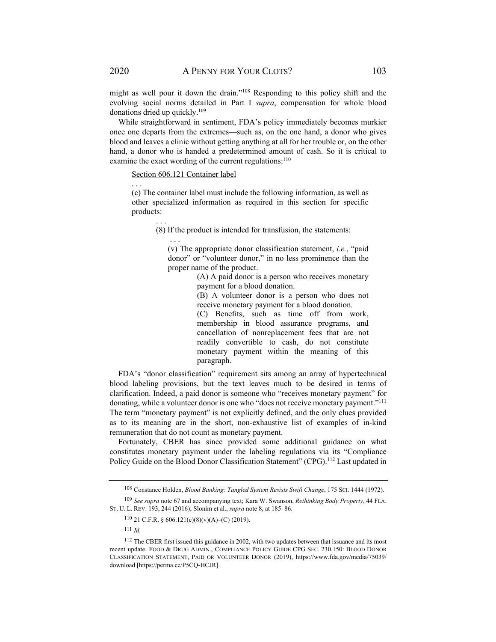might as well pour it down the drain."108 Responding to this policy shift and the evolving social norms detailed in Part I *supra*, compensation for whole blood donations dried up quickly.109

While straightforward in sentiment, FDA's policy immediately becomes murkier once one departs from the extremes—such as, on the one hand, a donor who gives blood and leaves a clinic without getting anything at all for her trouble or, on the other hand, a donor who is handed a predetermined amount of cash. So it is critical to examine the exact wording of the current regulations: $110$ 

Section 606.121 Container label

. . .

(c) The container label must include the following information, as well as other specialized information as required in this section for specific products:

(8) If the product is intended for transfusion, the statements:

(v) The appropriate donor classification statement, *i.e.*, "paid donor" or "volunteer donor," in no less prominence than the proper name of the product.

> (A) A paid donor is a person who receives monetary payment for a blood donation.

> (B) A volunteer donor is a person who does not receive monetary payment for a blood donation.

> (C) Benefits, such as time off from work, membership in blood assurance programs, and cancellation of nonreplacement fees that are not readily convertible to cash, do not constitute monetary payment within the meaning of this paragraph.

FDA's "donor classification" requirement sits among an array of hypertechnical blood labeling provisions, but the text leaves much to be desired in terms of clarification. Indeed, a paid donor is someone who "receives monetary payment" for donating, while a volunteer donor is one who "does not receive monetary payment."111 The term "monetary payment" is not explicitly defined, and the only clues provided as to its meaning are in the short, non-exhaustive list of examples of in-kind remuneration that do not count as monetary payment.

Fortunately, CBER has since provided some additional guidance on what constitutes monetary payment under the labeling regulations via its "Compliance Policy Guide on the Blood Donor Classification Statement" (CPG).<sup>112</sup> Last updated in

. . .

. . .

<sup>108</sup>Constance Holden, *Blood Banking: Tangled System Resists Swift Change*, 175 SCI. 1444 (1972).

<sup>109</sup> *See supra* note 67 and accompanying text; Kara W. Swanson, *Rethinking Body Property*, 44 FLA. ST. U. L. REV. 193, 244 (2016); Slonim et al., *supra* note 8, at 185–86.

<sup>110 21</sup> C.F.R. § 606.121(c)(8)(v)(A)–(C) (2019).

<sup>111</sup> *Id.* 

<sup>&</sup>lt;sup>112</sup> The CBER first issued this guidance in 2002, with two updates between that issuance and its most recent update. FOOD & DRUG ADMIN., COMPLIANCE POLICY GUIDE CPG SEC. 230.150: BLOOD DONOR CLASSIFICATION STATEMENT, PAID OR VOLUNTEER DONOR (2019), https://www.fda.gov/media/75039/ download [https://perma.cc/P5CQ-HCJR].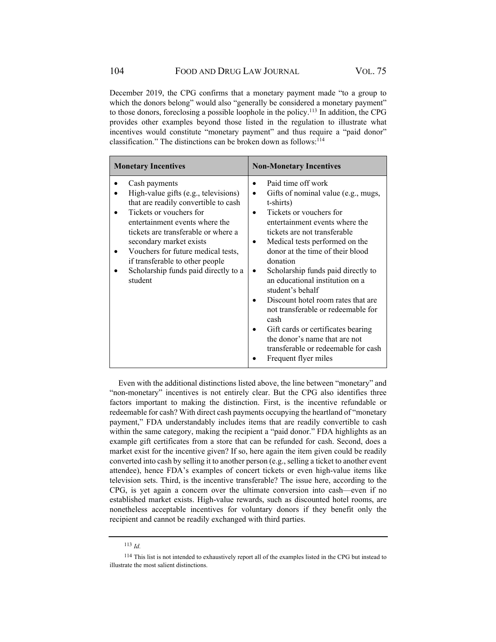December 2019, the CPG confirms that a monetary payment made "to a group to which the donors belong" would also "generally be considered a monetary payment" to those donors, foreclosing a possible loophole in the policy.113 In addition, the CPG provides other examples beyond those listed in the regulation to illustrate what incentives would constitute "monetary payment" and thus require a "paid donor" classification." The distinctions can be broken down as follows: 114

| <b>Monetary Incentives</b>                                                                                                                                                                                                                                                                                                                               | <b>Non-Monetary Incentives</b>                                                                                                                                                                                                                                                                                                                                                                                                                                                                                                                                               |
|----------------------------------------------------------------------------------------------------------------------------------------------------------------------------------------------------------------------------------------------------------------------------------------------------------------------------------------------------------|------------------------------------------------------------------------------------------------------------------------------------------------------------------------------------------------------------------------------------------------------------------------------------------------------------------------------------------------------------------------------------------------------------------------------------------------------------------------------------------------------------------------------------------------------------------------------|
| Cash payments<br>High-value gifts (e.g., televisions)<br>that are readily convertible to cash<br>Tickets or vouchers for<br>entertainment events where the<br>tickets are transferable or where a<br>secondary market exists<br>Vouchers for future medical tests,<br>if transferable to other people<br>Scholarship funds paid directly to a<br>student | Paid time off work<br>Gifts of nominal value (e.g., mugs,<br>t-shirts)<br>Tickets or vouchers for<br>entertainment events where the<br>tickets are not transferable<br>Medical tests performed on the<br>donor at the time of their blood<br>donation<br>Scholarship funds paid directly to<br>an educational institution on a<br>student's behalf<br>Discount hotel room rates that are<br>not transferable or redeemable for<br>cash<br>Gift cards or certificates bearing<br>the donor's name that are not<br>transferable or redeemable for cash<br>Frequent flyer miles |

Even with the additional distinctions listed above, the line between "monetary" and "non-monetary" incentives is not entirely clear. But the CPG also identifies three factors important to making the distinction. First, is the incentive refundable or redeemable for cash? With direct cash payments occupying the heartland of "monetary payment," FDA understandably includes items that are readily convertible to cash within the same category, making the recipient a "paid donor." FDA highlights as an example gift certificates from a store that can be refunded for cash. Second, does a market exist for the incentive given? If so, here again the item given could be readily converted into cash by selling it to another person (e.g., selling a ticket to another event attendee), hence FDA's examples of concert tickets or even high-value items like television sets. Third, is the incentive transferable? The issue here, according to the CPG, is yet again a concern over the ultimate conversion into cash—even if no established market exists. High-value rewards, such as discounted hotel rooms, are nonetheless acceptable incentives for voluntary donors if they benefit only the recipient and cannot be readily exchanged with third parties.

<sup>113</sup> *Id.* 

<sup>114</sup> This list is not intended to exhaustively report all of the examples listed in the CPG but instead to illustrate the most salient distinctions.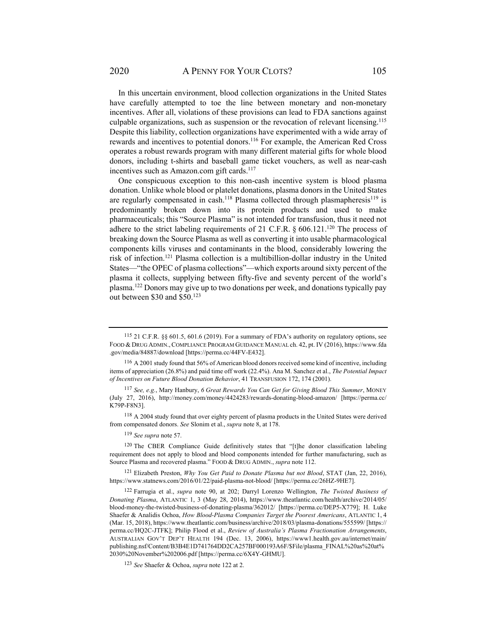In this uncertain environment, blood collection organizations in the United States have carefully attempted to toe the line between monetary and non-monetary incentives. After all, violations of these provisions can lead to FDA sanctions against culpable organizations, such as suspension or the revocation of relevant licensing.115 Despite this liability, collection organizations have experimented with a wide array of rewards and incentives to potential donors.<sup>116</sup> For example, the American Red Cross operates a robust rewards program with many different material gifts for whole blood donors, including t-shirts and baseball game ticket vouchers, as well as near-cash incentives such as Amazon.com gift cards.<sup>117</sup>

One conspicuous exception to this non-cash incentive system is blood plasma donation. Unlike whole blood or platelet donations, plasma donors in the United States are regularly compensated in cash.<sup>118</sup> Plasma collected through plasmapheresis<sup>119</sup> is predominantly broken down into its protein products and used to make pharmaceuticals; this "Source Plasma" is not intended for transfusion, thus it need not adhere to the strict labeling requirements of 21 C.F.R.  $\S$  606.121.<sup>120</sup> The process of breaking down the Source Plasma as well as converting it into usable pharmacological components kills viruses and contaminants in the blood, considerably lowering the risk of infection.121 Plasma collection is a multibillion-dollar industry in the United States—"the OPEC of plasma collections"—which exports around sixty percent of the plasma it collects, supplying between fifty-five and seventy percent of the world's plasma.122 Donors may give up to two donations per week, and donations typically pay out between \$30 and \$50.123

118 A 2004 study found that over eighty percent of plasma products in the United States were derived from compensated donors. *See* Slonim et al., *supra* note 8, at 178.

<sup>119</sup> *See supra* note 57.

120 The CBER Compliance Guide definitively states that "[t]he donor classification labeling requirement does not apply to blood and blood components intended for further manufacturing, such as Source Plasma and recovered plasma." FOOD & DRUG ADMIN., *supra* note 112.

121 Elizabeth Preston, *Why You Get Paid to Donate Plasma but not Blood*, STAT (Jan, 22, 2016), https://www.statnews.com/2016/01/22/paid-plasma-not-blood/ [https://perma.cc/26HZ-9HE7].

<sup>115 21</sup> C.F.R. §§ 601.5, 601.6 (2019). For a summary of FDA's authority on regulatory options, see FOOD & DRUG ADMIN.,COMPLIANCE PROGRAM GUIDANCE MANUAL ch. 42, pt. IV (2016), https://www.fda .gov/media/84887/download [https://perma.cc/44FV-E432].

<sup>116</sup> A 2001 study found that 56% of American blood donors received some kind of incentive, including items of appreciation (26.8%) and paid time off work (22.4%). Ana M. Sanchez et al., *The Potential Impact of Incentives on Future Blood Donation Behavior*, 41 TRANSFUSION 172, 174 (2001).

<sup>117</sup> *See, e.g.*, Mary Hanbury, *6 Great Rewards You Can Get for Giving Blood This Summer*, MONEY (July 27, 2016), http://money.com/money/4424283/rewards-donating-blood-amazon/ [https://perma.cc/ K79P-F8N3].

<sup>122</sup> Farrugia et al., *supra* note 90, at 202; Darryl Lorenzo Wellington, *The Twisted Business of Donating Plasma*, ATLANTIC 1, 3 (May 28, 2014), https://www.theatlantic.com/health/archive/2014/05/ blood-money-the-twisted-business-of-donating-plasma/362012/ [https://perma.cc/DEP5-X779]; H. Luke Shaefer & Analidis Ochoa, *How Blood-Plasma Companies Target the Poorest Americans*, ATLANTIC 1, 4 (Mar. 15, 2018), https://www.theatlantic.com/business/archive/2018/03/plasma-donations/555599/ [https:// perma.cc/HQ2C-JTFK]; Philip Flood et al., *Review of Australia's Plasma Fractionation Arrangements*, AUSTRALIAN GOV'T DEP'T HEALTH 194 (Dec. 13, 2006), https://www1.health.gov.au/internet/main/ publishing.nsf/Content/B3B4E1D741764DD2CA257BF000193A6F/\$File/plasma\_FINAL%20as%20at% 2030%20November%202006.pdf [https://perma.cc/6X4Y-GHMU].

<sup>123</sup> *See* Shaefer & Ochoa, *supra* note 122 at 2.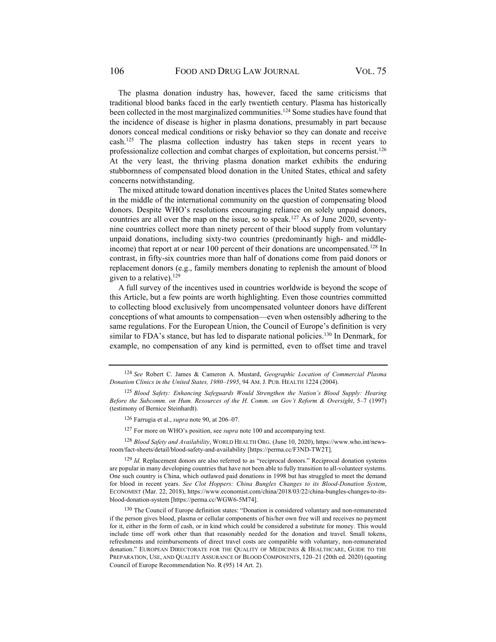The plasma donation industry has, however, faced the same criticisms that traditional blood banks faced in the early twentieth century. Plasma has historically been collected in the most marginalized communities.<sup>124</sup> Some studies have found that the incidence of disease is higher in plasma donations, presumably in part because donors conceal medical conditions or risky behavior so they can donate and receive cash.125 The plasma collection industry has taken steps in recent years to professionalize collection and combat charges of exploitation, but concerns persist.<sup>126</sup> At the very least, the thriving plasma donation market exhibits the enduring stubbornness of compensated blood donation in the United States, ethical and safety concerns notwithstanding.

The mixed attitude toward donation incentives places the United States somewhere in the middle of the international community on the question of compensating blood donors. Despite WHO's resolutions encouraging reliance on solely unpaid donors, countries are all over the map on the issue, so to speak.<sup>127</sup> As of June 2020, seventynine countries collect more than ninety percent of their blood supply from voluntary unpaid donations, including sixty-two countries (predominantly high- and middleincome) that report at or near 100 percent of their donations are uncompensated.<sup>128</sup> In contrast, in fifty-six countries more than half of donations come from paid donors or replacement donors (e.g., family members donating to replenish the amount of blood given to a relative).<sup>129</sup>

A full survey of the incentives used in countries worldwide is beyond the scope of this Article, but a few points are worth highlighting. Even those countries committed to collecting blood exclusively from uncompensated volunteer donors have different conceptions of what amounts to compensation—even when ostensibly adhering to the same regulations. For the European Union, the Council of Europe's definition is very similar to FDA's stance, but has led to disparate national policies.<sup>130</sup> In Denmark, for example, no compensation of any kind is permitted, even to offset time and travel

127 For more on WHO's position, see *supra* note 100 and accompanying text.

<sup>128</sup> *Blood Safety and Availability*, WORLD HEALTH ORG. (June 10, 2020), https://www.who.int/newsroom/fact-sheets/detail/blood-safety-and-availability [https://perma.cc/F3ND-TW2T].

<sup>129</sup> Id. Replacement donors are also referred to as "reciprocal donors." Reciprocal donation systems are popular in many developing countries that have not been able to fully transition to all-volunteer systems. One such country is China, which outlawed paid donations in 1998 but has struggled to meet the demand for blood in recent years. *See Clot Hoppers: China Bungles Changes to its Blood-Donation System*, ECONOMIST (Mar. 22, 2018), https://www.economist.com/china/2018/03/22/china-bungles-changes-to-itsblood-donation-system [https://perma.cc/WGW6-5M74].

<sup>130</sup> The Council of Europe definition states: "Donation is considered voluntary and non-remunerated if the person gives blood, plasma or cellular components of his/her own free will and receives no payment for it, either in the form of cash, or in kind which could be considered a substitute for money. This would include time off work other than that reasonably needed for the donation and travel. Small tokens, refreshments and reimbursements of direct travel costs are compatible with voluntary, non-remunerated donation." EUROPEAN DIRECTORATE FOR THE QUALITY OF MEDICINES & HEALTHCARE, GUIDE TO THE PREPARATION, USE, AND QUALITY ASSURANCE OF BLOOD COMPONENTS, 120–21 (20th ed. 2020) (quoting Council of Europe Recommendation No. R (95) 14 Art. 2).

<sup>124</sup> *See* Robert C. James & Cameron A. Mustard, *Geographic Location of Commercial Plasma Donation Clinics in the United States, 1980–1995*, 94 AM. J. PUB. HEALTH 1224 (2004).

<sup>125</sup> *Blood Safety: Enhancing Safeguards Would Strengthen the Nation's Blood Supply: Hearing Before the Subcomm. on Hum. Resources of the H. Comm. on Gov't Reform & Oversight*, 5–7 (1997) (testimony of Bernice Steinhardt).

<sup>126</sup> Farrugia et al., *supra* note 90, at 206–07.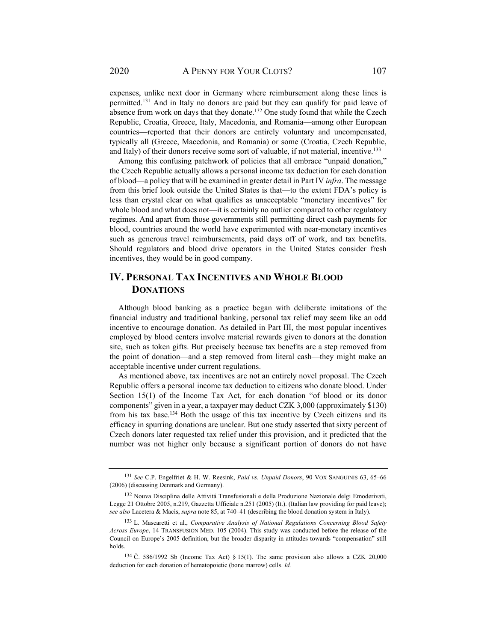2020 A PENNY FOR YOUR CLOTS? 107

expenses, unlike next door in Germany where reimbursement along these lines is permitted.131 And in Italy no donors are paid but they can qualify for paid leave of absence from work on days that they donate.<sup>132</sup> One study found that while the Czech Republic, Croatia, Greece, Italy, Macedonia, and Romania—among other European countries—reported that their donors are entirely voluntary and uncompensated, typically all (Greece, Macedonia, and Romania) or some (Croatia, Czech Republic, and Italy) of their donors receive some sort of valuable, if not material, incentive.<sup>133</sup>

Among this confusing patchwork of policies that all embrace "unpaid donation," the Czech Republic actually allows a personal income tax deduction for each donation of blood—a policy that will be examined in greater detail in Part IV *infra*. The message from this brief look outside the United States is that—to the extent FDA's policy is less than crystal clear on what qualifies as unacceptable "monetary incentives" for whole blood and what does not—it is certainly no outlier compared to other regulatory regimes. And apart from those governments still permitting direct cash payments for blood, countries around the world have experimented with near-monetary incentives such as generous travel reimbursements, paid days off of work, and tax benefits. Should regulators and blood drive operators in the United States consider fresh incentives, they would be in good company.

# **IV. PERSONAL TAX INCENTIVES AND WHOLE BLOOD DONATIONS**

Although blood banking as a practice began with deliberate imitations of the financial industry and traditional banking, personal tax relief may seem like an odd incentive to encourage donation. As detailed in Part III, the most popular incentives employed by blood centers involve material rewards given to donors at the donation site, such as token gifts. But precisely because tax benefits are a step removed from the point of donation—and a step removed from literal cash—they might make an acceptable incentive under current regulations.

As mentioned above, tax incentives are not an entirely novel proposal. The Czech Republic offers a personal income tax deduction to citizens who donate blood. Under Section 15(1) of the Income Tax Act, for each donation "of blood or its donor components" given in a year, a taxpayer may deduct CZK 3,000 (approximately \$130) from his tax base.134 Both the usage of this tax incentive by Czech citizens and its efficacy in spurring donations are unclear. But one study asserted that sixty percent of Czech donors later requested tax relief under this provision, and it predicted that the number was not higher only because a significant portion of donors do not have

<sup>131</sup> *See* C.P. Engelfriet & H. W. Reesink, *Paid vs. Unpaid Donors*, 90 VOX SANGUINIS 63, 65–66 (2006) (discussing Denmark and Germany).

<sup>132</sup> Nouva Disciplina delle Attivitá Transfusionali e della Produzione Nazionale delgi Emoderivati, Legge 21 Ottobre 2005, n.219, Gazzetta Ufficiale n.251 (2005) (It.). (Italian law providing for paid leave); *see also* Lacetera & Macis, *supra* note 85, at 740–41 (describing the blood donation system in Italy).

<sup>133</sup> L. Mascaretti et al., *Comparative Analysis of National Regulations Concerning Blood Safety Across Europe*, 14 TRANSFUSION MED. 105 (2004). This study was conducted before the release of the Council on Europe's 2005 definition, but the broader disparity in attitudes towards "compensation" still holds.

 $134$  Č. 586/1992 Sb (Income Tax Act) § 15(1). The same provision also allows a CZK 20,000 deduction for each donation of hematopoietic (bone marrow) cells. *Id.*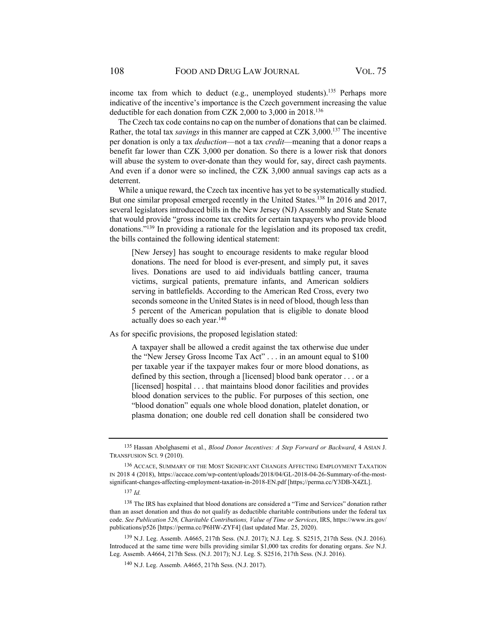income tax from which to deduct (e.g., unemployed students).<sup>135</sup> Perhaps more indicative of the incentive's importance is the Czech government increasing the value deductible for each donation from CZK 2,000 to 3,000 in 2018.136

The Czech tax code contains no cap on the number of donations that can be claimed. Rather, the total tax *savings* in this manner are capped at CZK 3,000.137 The incentive per donation is only a tax *deduction*—not a tax *credit*—meaning that a donor reaps a benefit far lower than CZK 3,000 per donation. So there is a lower risk that donors will abuse the system to over-donate than they would for, say, direct cash payments. And even if a donor were so inclined, the CZK 3,000 annual savings cap acts as a deterrent.

While a unique reward, the Czech tax incentive has yet to be systematically studied. But one similar proposal emerged recently in the United States.<sup>138</sup> In 2016 and 2017, several legislators introduced bills in the New Jersey (NJ) Assembly and State Senate that would provide "gross income tax credits for certain taxpayers who provide blood donations."139 In providing a rationale for the legislation and its proposed tax credit, the bills contained the following identical statement:

[New Jersey] has sought to encourage residents to make regular blood donations. The need for blood is ever-present, and simply put, it saves lives. Donations are used to aid individuals battling cancer, trauma victims, surgical patients, premature infants, and American soldiers serving in battlefields. According to the American Red Cross, every two seconds someone in the United States is in need of blood, though less than 5 percent of the American population that is eligible to donate blood actually does so each year.<sup>140</sup>

As for specific provisions, the proposed legislation stated:

A taxpayer shall be allowed a credit against the tax otherwise due under the "New Jersey Gross Income Tax Act" . . . in an amount equal to \$100 per taxable year if the taxpayer makes four or more blood donations, as defined by this section, through a [licensed] blood bank operator . . . or a [licensed] hospital . . . that maintains blood donor facilities and provides blood donation services to the public. For purposes of this section, one "blood donation" equals one whole blood donation, platelet donation, or plasma donation; one double red cell donation shall be considered two

<sup>135</sup> Hassan Abolghasemi et al., *Blood Donor Incentives: A Step Forward or Backward*, 4 ASIAN J. TRANSFUSION SCI. 9 (2010).

<sup>136</sup> ACCACE, SUMMARY OF THE MOST SIGNIFICANT CHANGES AFFECTING EMPLOYMENT TAXATION IN 2018 4 (2018), https://accace.com/wp-content/uploads/2018/04/GL-2018-04-26-Summary-of-the-mostsignificant-changes-affecting-employment-taxation-in-2018-EN.pdf [https;//perma.cc/Y3DB-X4ZL].

<sup>137</sup> *Id.* 

<sup>138</sup> The IRS has explained that blood donations are considered a "Time and Services" donation rather than an asset donation and thus do not qualify as deductible charitable contributions under the federal tax code. *See Publication 526, Charitable Contributions, Value of Time or Services*, IRS, https://www.irs.gov/ publications/p526 [https://perma.cc/P6HW-ZYF4] (last updated Mar. 25, 2020).

<sup>139</sup> N.J. Leg. Assemb. A4665, 217th Sess. (N.J. 2017); N.J. Leg. S. S2515, 217th Sess. (N.J. 2016). Introduced at the same time were bills providing similar \$1,000 tax credits for donating organs. *See* N.J. Leg. Assemb. A4664, 217th Sess. (N.J. 2017); N.J. Leg. S. S2516, 217th Sess. (N.J. 2016).

<sup>140</sup> N.J. Leg. Assemb. A4665, 217th Sess. (N.J. 2017).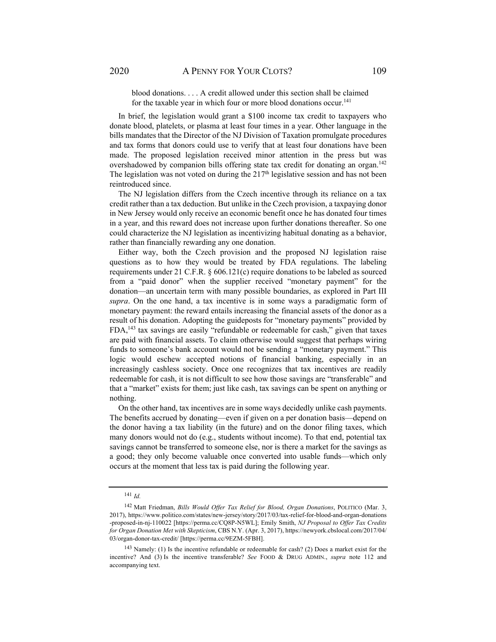blood donations. . . . A credit allowed under this section shall be claimed for the taxable year in which four or more blood donations occur.<sup>141</sup>

In brief, the legislation would grant a \$100 income tax credit to taxpayers who donate blood, platelets, or plasma at least four times in a year. Other language in the bills mandates that the Director of the NJ Division of Taxation promulgate procedures and tax forms that donors could use to verify that at least four donations have been made. The proposed legislation received minor attention in the press but was overshadowed by companion bills offering state tax credit for donating an organ.<sup>142</sup> The legislation was not voted on during the  $217<sup>th</sup>$  legislative session and has not been reintroduced since.

The NJ legislation differs from the Czech incentive through its reliance on a tax credit rather than a tax deduction. But unlike in the Czech provision, a taxpaying donor in New Jersey would only receive an economic benefit once he has donated four times in a year, and this reward does not increase upon further donations thereafter. So one could characterize the NJ legislation as incentivizing habitual donating as a behavior, rather than financially rewarding any one donation.

Either way, both the Czech provision and the proposed NJ legislation raise questions as to how they would be treated by FDA regulations. The labeling requirements under 21 C.F.R. § 606.121(c) require donations to be labeled as sourced from a "paid donor" when the supplier received "monetary payment" for the donation—an uncertain term with many possible boundaries, as explored in Part III *supra*. On the one hand, a tax incentive is in some ways a paradigmatic form of monetary payment: the reward entails increasing the financial assets of the donor as a result of his donation. Adopting the guideposts for "monetary payments" provided by FDA,143 tax savings are easily "refundable or redeemable for cash," given that taxes are paid with financial assets. To claim otherwise would suggest that perhaps wiring funds to someone's bank account would not be sending a "monetary payment." This logic would eschew accepted notions of financial banking, especially in an increasingly cashless society. Once one recognizes that tax incentives are readily redeemable for cash, it is not difficult to see how those savings are "transferable" and that a "market" exists for them; just like cash, tax savings can be spent on anything or nothing.

On the other hand, tax incentives are in some ways decidedly unlike cash payments. The benefits accrued by donating—even if given on a per donation basis—depend on the donor having a tax liability (in the future) and on the donor filing taxes, which many donors would not do (e.g., students without income). To that end, potential tax savings cannot be transferred to someone else, nor is there a market for the savings as a good; they only become valuable once converted into usable funds—which only occurs at the moment that less tax is paid during the following year.

<sup>141</sup> *Id.* 

<sup>142</sup> Matt Friedman, *Bills Would Offer Tax Relief for Blood, Organ Donations*, POLITICO (Mar. 3, 2017), https://www.politico.com/states/new-jersey/story/2017/03/tax-relief-for-blood-and-organ-donations -proposed-in-nj-110022 [https://perma.cc/CQ8P-N5WL]; Emily Smith, *NJ Proposal to Offer Tax Credits for Organ Donation Met with Skepticism*, CBS N.Y. (Apr. 3, 2017), https://newyork.cbslocal.com/2017/04/ 03/organ-donor-tax-credit/ [https://perma.cc/9EZM-5FBH].

<sup>143</sup> Namely: (1) Is the incentive refundable or redeemable for cash? (2) Does a market exist for the incentive? And (3) Is the incentive transferable? *See* FOOD & DRUG ADMIN., *supra* note 112 and accompanying text.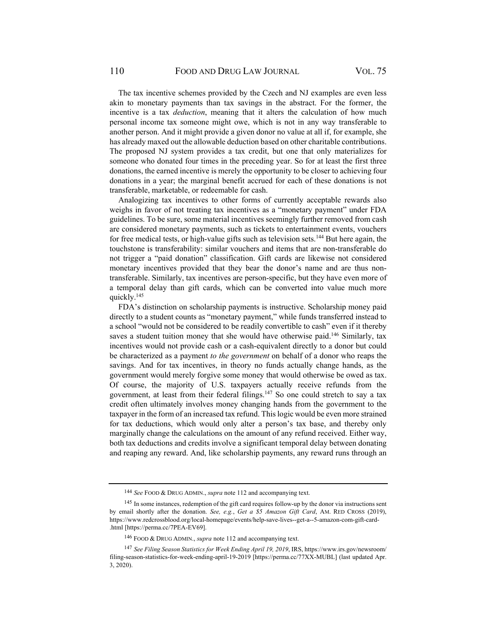The tax incentive schemes provided by the Czech and NJ examples are even less akin to monetary payments than tax savings in the abstract. For the former, the incentive is a tax *deduction*, meaning that it alters the calculation of how much personal income tax someone might owe, which is not in any way transferable to another person. And it might provide a given donor no value at all if, for example, she has already maxed out the allowable deduction based on other charitable contributions. The proposed NJ system provides a tax credit, but one that only materializes for someone who donated four times in the preceding year. So for at least the first three donations, the earned incentive is merely the opportunity to be closer to achieving four donations in a year; the marginal benefit accrued for each of these donations is not transferable, marketable, or redeemable for cash.

Analogizing tax incentives to other forms of currently acceptable rewards also weighs in favor of not treating tax incentives as a "monetary payment" under FDA guidelines. To be sure, some material incentives seemingly further removed from cash are considered monetary payments, such as tickets to entertainment events, vouchers for free medical tests, or high-value gifts such as television sets.<sup>144</sup> But here again, the touchstone is transferability: similar vouchers and items that are non-transferable do not trigger a "paid donation" classification. Gift cards are likewise not considered monetary incentives provided that they bear the donor's name and are thus nontransferable. Similarly, tax incentives are person-specific, but they have even more of a temporal delay than gift cards, which can be converted into value much more quickly.145

FDA's distinction on scholarship payments is instructive. Scholarship money paid directly to a student counts as "monetary payment," while funds transferred instead to a school "would not be considered to be readily convertible to cash" even if it thereby saves a student tuition money that she would have otherwise paid.<sup>146</sup> Similarly, tax incentives would not provide cash or a cash-equivalent directly to a donor but could be characterized as a payment *to the government* on behalf of a donor who reaps the savings. And for tax incentives, in theory no funds actually change hands, as the government would merely forgive some money that would otherwise be owed as tax. Of course, the majority of U.S. taxpayers actually receive refunds from the government, at least from their federal filings.<sup>147</sup> So one could stretch to say a tax credit often ultimately involves money changing hands from the government to the taxpayer in the form of an increased tax refund. This logic would be even more strained for tax deductions, which would only alter a person's tax base, and thereby only marginally change the calculations on the amount of any refund received. Either way, both tax deductions and credits involve a significant temporal delay between donating and reaping any reward. And, like scholarship payments, any reward runs through an

<sup>144</sup> *See* FOOD & DRUG ADMIN., *supra* note 112 and accompanying text.

<sup>145</sup> In some instances, redemption of the gift card requires follow-up by the donor via instructions sent by email shortly after the donation. *See, e.g.*, *Get a \$5 Amazon Gift Card*, AM. RED CROSS (2019), https://www.redcrossblood.org/local-homepage/events/help-save-lives--get-a--5-amazon-com-gift-card- .html [https://perma.cc/7PEA-EV69].

<sup>146</sup> FOOD & DRUG ADMIN., *supra* note 112 and accompanying text.

<sup>147</sup> *See Filing Season Statistics for Week Ending April 19, 2019*, IRS, https://www.irs.gov/newsroom/ filing-season-statistics-for-week-ending-april-19-2019 [https://perma.cc/77XX-MUBL] (last updated Apr. 3, 2020).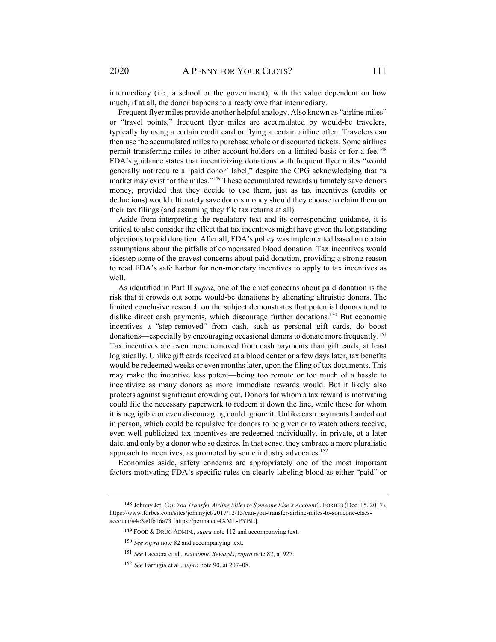intermediary (i.e., a school or the government), with the value dependent on how much, if at all, the donor happens to already owe that intermediary.

Frequent flyer miles provide another helpful analogy. Also known as "airline miles" or "travel points," frequent flyer miles are accumulated by would-be travelers, typically by using a certain credit card or flying a certain airline often. Travelers can then use the accumulated miles to purchase whole or discounted tickets. Some airlines permit transferring miles to other account holders on a limited basis or for a fee.<sup>148</sup> FDA's guidance states that incentivizing donations with frequent flyer miles "would generally not require a 'paid donor' label," despite the CPG acknowledging that "a market may exist for the miles."<sup>149</sup> These accumulated rewards ultimately save donors money, provided that they decide to use them, just as tax incentives (credits or deductions) would ultimately save donors money should they choose to claim them on their tax filings (and assuming they file tax returns at all).

Aside from interpreting the regulatory text and its corresponding guidance, it is critical to also consider the effect that tax incentives might have given the longstanding objections to paid donation. After all, FDA's policy was implemented based on certain assumptions about the pitfalls of compensated blood donation. Tax incentives would sidestep some of the gravest concerns about paid donation, providing a strong reason to read FDA's safe harbor for non-monetary incentives to apply to tax incentives as well.

As identified in Part II *supra*, one of the chief concerns about paid donation is the risk that it crowds out some would-be donations by alienating altruistic donors. The limited conclusive research on the subject demonstrates that potential donors tend to dislike direct cash payments, which discourage further donations.<sup>150</sup> But economic incentives a "step-removed" from cash, such as personal gift cards, do boost donations—especially by encouraging occasional donors to donate more frequently.151 Tax incentives are even more removed from cash payments than gift cards, at least logistically. Unlike gift cards received at a blood center or a few days later, tax benefits would be redeemed weeks or even months later, upon the filing of tax documents. This may make the incentive less potent—being too remote or too much of a hassle to incentivize as many donors as more immediate rewards would. But it likely also protects against significant crowding out. Donors for whom a tax reward is motivating could file the necessary paperwork to redeem it down the line, while those for whom it is negligible or even discouraging could ignore it. Unlike cash payments handed out in person, which could be repulsive for donors to be given or to watch others receive, even well-publicized tax incentives are redeemed individually, in private, at a later date, and only by a donor who so desires. In that sense, they embrace a more pluralistic approach to incentives, as promoted by some industry advocates.<sup>152</sup>

Economics aside, safety concerns are appropriately one of the most important factors motivating FDA's specific rules on clearly labeling blood as either "paid" or

<sup>148</sup> Johnny Jet, *Can You Transfer Airline Miles to Someone Else's Account?*, FORBES (Dec. 15, 2017), https://www.forbes.com/sites/johnnyjet/2017/12/15/can-you-transfer-airline-miles-to-someone-elsesaccount/#4e3a0f616a73 [https://perma.cc/4XML-PYBL].

<sup>149</sup> FOOD & DRUG ADMIN., *supra* note 112 and accompanying text.

<sup>150</sup> *See supra* note 82 and accompanying text.

<sup>151</sup> *See* Lacetera et al., *Economic Rewards*, *supra* note 82, at 927.

<sup>152</sup> *See* Farrugia et al., *supra* note 90, at 207–08.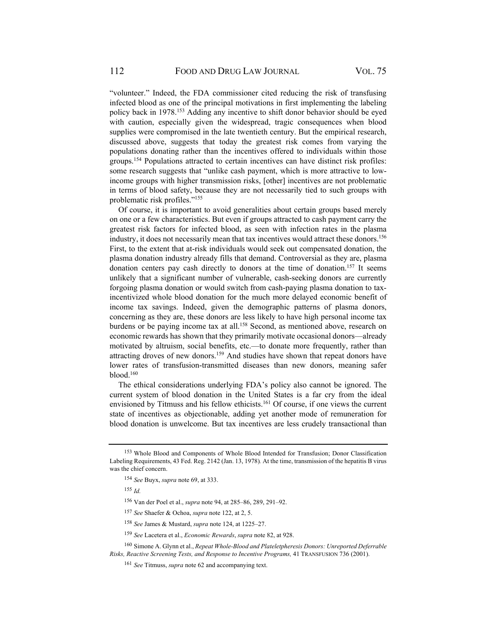"volunteer." Indeed, the FDA commissioner cited reducing the risk of transfusing infected blood as one of the principal motivations in first implementing the labeling policy back in 1978.153 Adding any incentive to shift donor behavior should be eyed with caution, especially given the widespread, tragic consequences when blood supplies were compromised in the late twentieth century. But the empirical research, discussed above, suggests that today the greatest risk comes from varying the populations donating rather than the incentives offered to individuals within those groups.<sup>154</sup> Populations attracted to certain incentives can have distinct risk profiles: some research suggests that "unlike cash payment, which is more attractive to lowincome groups with higher transmission risks, [other] incentives are not problematic in terms of blood safety, because they are not necessarily tied to such groups with problematic risk profiles."155

Of course, it is important to avoid generalities about certain groups based merely on one or a few characteristics. But even if groups attracted to cash payment carry the greatest risk factors for infected blood, as seen with infection rates in the plasma industry, it does not necessarily mean that tax incentives would attract these donors.<sup>156</sup> First, to the extent that at-risk individuals would seek out compensated donation, the plasma donation industry already fills that demand. Controversial as they are, plasma donation centers pay cash directly to donors at the time of donation.<sup>157</sup> It seems unlikely that a significant number of vulnerable, cash-seeking donors are currently forgoing plasma donation or would switch from cash-paying plasma donation to taxincentivized whole blood donation for the much more delayed economic benefit of income tax savings. Indeed, given the demographic patterns of plasma donors, concerning as they are, these donors are less likely to have high personal income tax burdens or be paying income tax at all.<sup>158</sup> Second, as mentioned above, research on economic rewards has shown that they primarily motivate occasional donors—already motivated by altruism, social benefits, etc.—to donate more frequently, rather than attracting droves of new donors.<sup>159</sup> And studies have shown that repeat donors have lower rates of transfusion-transmitted diseases than new donors, meaning safer  $b$ lood. $160$ 

The ethical considerations underlying FDA's policy also cannot be ignored. The current system of blood donation in the United States is a far cry from the ideal envisioned by Titmuss and his fellow ethicists.<sup>161</sup> Of course, if one views the current state of incentives as objectionable, adding yet another mode of remuneration for blood donation is unwelcome. But tax incentives are less crudely transactional than

<sup>155</sup> *Id.*

156 Van der Poel et al., *supra* note 94, at 285–86, 289, 291–92.

<sup>157</sup> *See* Shaefer & Ochoa, *supra* note 122, at 2, 5.

<sup>153</sup> Whole Blood and Components of Whole Blood Intended for Transfusion; Donor Classification Labeling Requirements, 43 Fed. Reg. 2142 (Jan. 13, 1978)*.* At the time, transmission of the hepatitis B virus was the chief concern.

<sup>154</sup> *See* Buyx, *supra* note 69, at 333.

<sup>158</sup> *See* James & Mustard, *supra* note 124, at 1225–27.

<sup>159</sup> *See* Lacetera et al., *Economic Rewards*, *supra* note 82, at 928.

<sup>160</sup> Simone A. Glynn et al., *Repeat Whole-Blood and Plateletpheresis Donors: Unreported Deferrable Risks, Reactive Screening Tests, and Response to Incentive Programs,* 41 TRANSFUSION 736 (2001).

<sup>161</sup> *See* Titmuss, *supra* note 62 and accompanying text.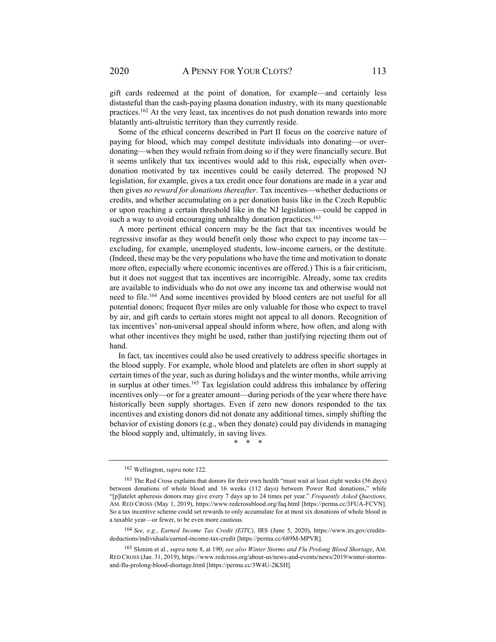gift cards redeemed at the point of donation, for example—and certainly less distasteful than the cash-paying plasma donation industry, with its many questionable practices.162 At the very least, tax incentives do not push donation rewards into more blatantly anti-altruistic territory than they currently reside.

Some of the ethical concerns described in Part II focus on the coercive nature of paying for blood, which may compel destitute individuals into donating—or overdonating—when they would refrain from doing so if they were financially secure. But it seems unlikely that tax incentives would add to this risk, especially when overdonation motivated by tax incentives could be easily deterred. The proposed NJ legislation, for example, gives a tax credit once four donations are made in a year and then gives *no reward for donations thereafter*. Tax incentives—whether deductions or credits, and whether accumulating on a per donation basis like in the Czech Republic or upon reaching a certain threshold like in the NJ legislation—could be capped in such a way to avoid encouraging unhealthy donation practices.<sup>163</sup>

A more pertinent ethical concern may be the fact that tax incentives would be regressive insofar as they would benefit only those who expect to pay income tax excluding, for example, unemployed students, low-income earners, or the destitute. (Indeed, these may be the very populations who have the time and motivation to donate more often, especially where economic incentives are offered.) This is a fair criticism, but it does not suggest that tax incentives are incorrigible. Already, some tax credits are available to individuals who do not owe any income tax and otherwise would not need to file.164 And some incentives provided by blood centers are not useful for all potential donors; frequent flyer miles are only valuable for those who expect to travel by air, and gift cards to certain stores might not appeal to all donors. Recognition of tax incentives' non-universal appeal should inform where, how often, and along with what other incentives they might be used, rather than justifying rejecting them out of hand.

In fact, tax incentives could also be used creatively to address specific shortages in the blood supply. For example, whole blood and platelets are often in short supply at certain times of the year, such as during holidays and the winter months, while arriving in surplus at other times.165 Tax legislation could address this imbalance by offering incentives only—or for a greater amount—during periods of the year where there have historically been supply shortages. Even if zero new donors responded to the tax incentives and existing donors did not donate any additional times, simply shifting the behavior of existing donors (e.g., when they donate) could pay dividends in managing the blood supply and, ultimately, in saving lives.

\* \* \*

<sup>162</sup> Wellington, *supra* note 122.

<sup>163</sup> The Red Cross explains that donors for their own health "must wait at least eight weeks (56 days) between donations of whole blood and 16 weeks (112 days) between Power Red donations," while "[p]latelet apheresis donors may give every 7 days up to 24 times per year." *Frequently Asked Questions*, AM. RED CROSS (May 1, 2019), https://www.redcrossblood.org/faq.html [https://perma.cc/3FUA-FCVN]. So a tax incentive scheme could set rewards to only accumulate for at most six donations of whole blood in a taxable year—or fewer, to be even more cautious.

<sup>164</sup> *See, e.g.*, *Earned Income Tax Credit (EITC)*, IRS (June 5, 2020), https://www.irs.gov/creditsdeductions/individuals/earned-income-tax-credit [https://perma.cc/689M-MPVR].

<sup>165</sup> Slonim et al., *supra* note 8, at 190; *see also Winter Storms and Flu Prolong Blood Shortage*, AM. RED CROSS (Jan. 31, 2019), https://www.redcross.org/about-us/news-and-events/news/2019/winter-stormsand-flu-prolong-blood-shortage.html [https://perma.cc/3W4U-2KSH].